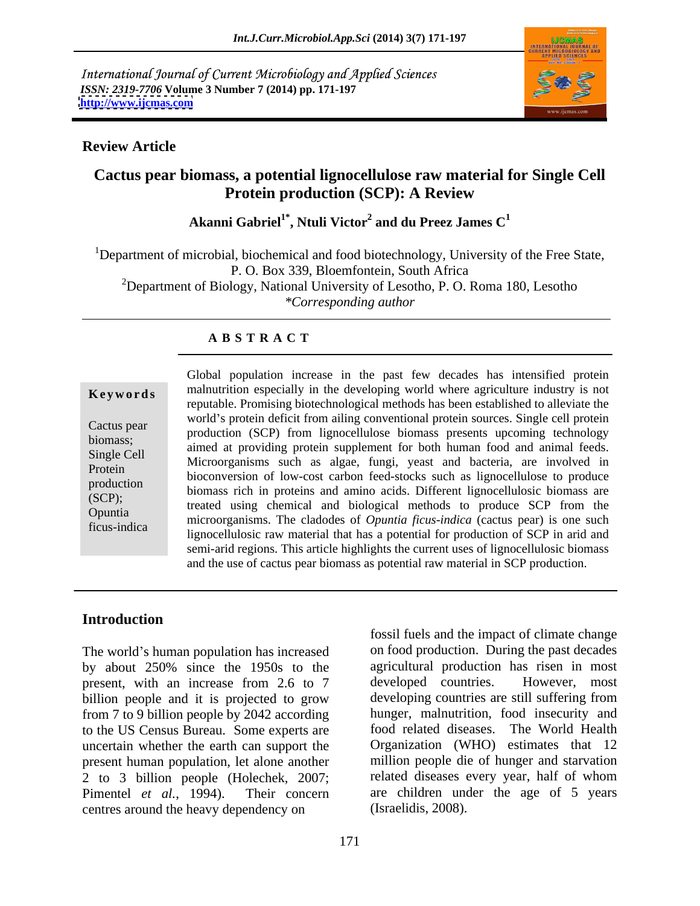International Journal of Current Microbiology and Applied Sciences *ISSN: 2319-7706* **Volume 3 Number 7 (2014) pp. 171-197 <http://www.ijcmas.com>**



### **Review Article**

## **Cactus pear biomass, a potential lignocellulose raw material for Single Cell Protein production (SCP): A Review**

### $\bf{A}$ kanni  $\bf{G}$ abriel $\bf{I}^*$ ,  $\bf{N}$ tuli  $\bf{V}$ ictor $\bf{I}^2$  and  $\bf{d}$ u Preez James  $\bf{C}^1$ **and du Preez James C<sup>1</sup>**

<sup>1</sup>Department of microbial, biochemical and food biotechnology, University of the Free State, P. O. Box 339, Bloemfontein, South Africa 2Department of Biology, National University of Lesotho, P. O. Roma 180, Lesotho *\*Corresponding author* 

### **A B S T R A C T**

**Keywords** malnutrition especially in the developing world where agriculture industry is not Cactus pear production (SCP) from lignocellulose biomass presents upcoming technology biomass;<br>Single Gell animal at providing protein supplement for both human food and animal feeds. Single Cell Microorganisms such as algae, fungi, yeast and bacteria, are involved in Protein bioconversion of low-cost carbon feed-stocks such as lignocellulose to produce production<br>
biomass rich in proteins and amino acids. Different lignocellulosic biomass are<br>
(SCD). (SCP);<br>
treated using chemical and biological methods to produce SCP from the Opuntia<br>
microorganisms. The cladodes of *Opuntia ficus-indica* (cactus pear) is one such ficus-indica lignocellulosic raw material that has a potential for production of SCP in arid and Global population increase in the past few decades has intensified protein reputable. Promising biotechnological methods has been established to alleviate the world's protein deficit from ailing conventional protein sources. Single cell protein semi-arid regions. This article highlights the current uses of lignocellulosic biomass and the use of cactus pear biomass as potential raw material in SCP production.

### **Introduction**

The world's human population has increased by about 250% since the 1950s to the agricultural production has risen in most present with an increase from 2.6 to 7 developed countries. However, most present, with an increase from 2.6 to 7 billion people and it is projected to grow from 7 to 9 billion people by 2042 according to the US Census Bureau. Some experts are uncertain whether the earth can support the present human population, let alone another 2 to 3 billion people (Holechek, 2007;<br>Pimentel et al., 1994). Their concern Pimentel *et al.*, 1994). Their concern are children under the age of 5 years centres around the heavy dependency on

fossil fuels and the impact of climate change on food production. During the past decades agricultural production has risen in most developed countries. However, most developing countries are still suffering from hunger, malnutrition, food insecurity and food related diseases. The World Health Organization (WHO) estimates that 12 million people die of hunger and starvation related diseases every year, half of whom (Israelidis, 2008).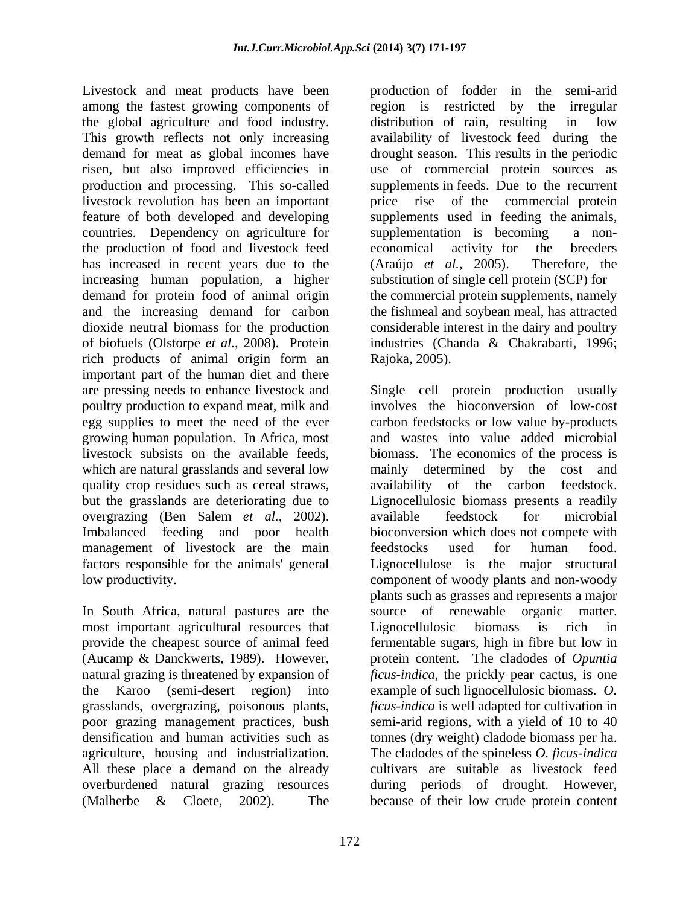Livestock and meat products have been among the fastest growing components of the global agriculture and food industry. This growth reflects not only increasing availability of livestock feed during the demand for meat as global incomes have drought season. This results in the periodic risen, but also improved efficiencies in use of commercial protein sources as production and processing. This so-called supplements in feeds. Due to the recurrent livestock revolution has been an important price rise of the commercial protein feature of both developed and developing supplements used in feeding the animals, countries. Dependency on agriculture for supplementation is becoming a nonthe production of food and livestock feed has increased in recent years due to the (Araújo et al., 2005). Therefore, the increasing human population, a higher demand for protein food of animal origin the commercial protein supplements, namely and the increasing demand for carbon the fishmeal and soybean meal, has attracted dioxide neutral biomass for the production considerable interest in the dairy and poultry of biofuels (Olstorpe *et al.*, 2008). Protein industries (Chanda & Chakrabarti, 1996; rich products of animal origin form an important part of the human diet and there poultry production to expand meat, milk and growing human population. In Africa, most quality crop residues such as cereal straws, availability of the carbon feedstock. management of livestock are the main feedstocks used for human food. factors responsible for the animals' general

In South Africa, natural pastures are the most important agricultural resources that Lignocellulosic biomass is rich in grasslands, overgrazing, poisonous plants, (Malherbe & Cloete, 2002). The because of their low crude protein content

production of fodder in the semi-arid region is restricted by the irregular distribution of rain, resulting in low supplementation is becoming economical activity for the breeders (Araújo *et al.*, 2005). Therefore, the substitution of single cell protein (SCP) for Rajoka, 2005).

are pressing needs to enhance livestock and Single cell protein production usually egg supplies to meet the need of the ever carbon feedstocks or low value by-products livestock subsists on the available feeds, biomass. The economics of the process is which are natural grasslands and several low mainly determined by the cost and but the grasslands are deteriorating due to Lignocellulosic biomass presents a readily overgrazing (Ben Salem *et al.*, 2002). available feedstock for microbial Imbalanced feeding and poor health bioconversion which does not compete with low productivity. component of woody plants and non-woody provide the cheapest source of animal feed fermentable sugars, high in fibre but low in (Aucamp & Danckwerts, 1989). However, protein content. The cladodes of *Opuntia*  natural grazing is threatened by expansion of *ficus-indica*, the prickly pear cactus, is one the Karoo (semi-desert region) into example of such lignocellulosic biomass. *O.*  poor grazing management practices, bush semi-arid regions, with a yield of 10 to 40 densification and human activities such as tonnes (dry weight) cladode biomass per ha. agriculture, housing and industrialization. The cladodes of the spineless *O. ficus-indica* All these place a demand on the already cultivars are suitable as livestock feed overburdened natural grazing resources during periods of drought. However, involves the bioconversion of low-cost and wastes into value added microbial availability of the carbon available feedstock for microbial bioconversion which does not compete with feedstocks used for human food. Lignocellulose is the major structural plants such as grasses and represents a major source of renewable organic matter. Lignocellulosic biomass is rich in *ficus-indica* is well adapted for cultivation in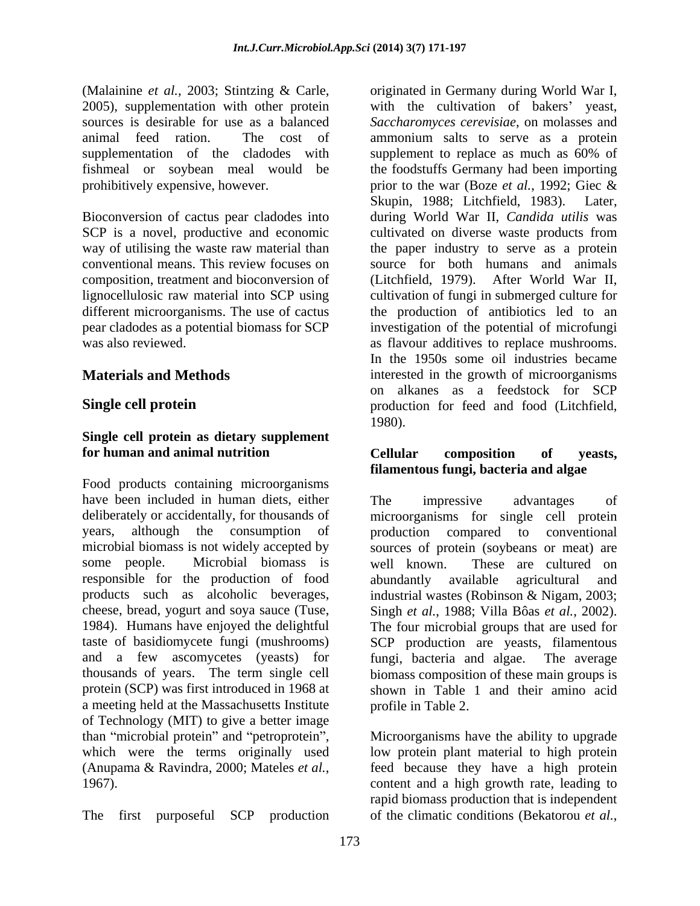supplementation of the cladodes with supplement to replace as much as 60% of fishmeal or soybean meal would be

# **Single cell protein as dietary supplement**

Food products containing microorganisms have been included in human diets, either The impressive advantages of years, although the consumption of production compared to conventional some people. Microbial biomass is well known. These are cultured on responsible for the production of food cheese, bread, yogurt and soya sauce (Tuse, Singh et al., 1988; Villa Bôas et al., 2002). 1984). Humans have enjoyed the delightful The four microbial groups that are used for and a few ascomycetes (yeasts) for fungi, bacteria and algae. The average a meeting held at the Massachusetts Institute of Technology (MIT) to give a better image than "microbial protein" and "petroprotein", than "microbial protein" and "petroprotein", Microorganisms have the ability to upgrade which were the terms originally used low protein plant material to high protein

(Malainine *et al.*, 2003; Stintzing & Carle, originated in Germany during World War I, 2005), supplementation with other protein with the cultivation of bakers' yeast, sources is desirable for use as a balanced *Saccharomyces cerevisiae*, on molasses and animal feed ration. The cost of ammonium salts to serve as a protein prohibitively expensive, however. <br>
prior to the war (Boze *et al.*, 1992; Giec & Bioconversion of cactus pear cladodes into during World War II, *Candida utilis* was SCP is a novel, productive and economic cultivated on diverse waste products from way of utilising the waste raw material than the paper industry to serve as a protein conventional means. This review focuses on source for both humans and animals composition, treatment and bioconversion of (Litchfield, 1979). After World War II, lignocellulosic raw material into SCP using cultivation of fungi in submerged culture for different microorganisms. The use of cactus the production of antibiotics led to an pear cladodes as a potential biomass for SCP investigation of the potential of microfungi was also reviewed. as flavour additives to replace mushrooms. **Materials and Methods interested** in the growth of microorganisms **Single cell protein production** for feed and food (Litchfield, supplement to replace as much as 60% of the foodstuffs Germany had been importing Skupin, 1988; Litchfield, 1983). Later, In the 1950s some oil industries became on alkanes as a feedstock for SCP 1980).

### **for human and animal nutrition Cellular composition of yeasts, filamentous fungi, bacteria and algae**

deliberately or accidentally, for thousands of microorganisms for single cell protein microbial biomass is not widely accepted by sources of protein (soybeans or meat) are products such as alcoholic beverages, industrial wastes (Robinson & Nigam, 2003; taste of basidiomycete fungi (mushrooms) SCP production are yeasts, filamentous thousands of years. The term single cell biomass composition of these main groups is protein (SCP) was first introduced in 1968 at shown in Table 1 and their amino acid The impressive advantages of production compared to conventional well known. These are cultured on abundantly available agricultural and Singh *et al.*, 1988; Villa Bôas *et al.*, 2002). The four microbial groups that are used for fungi, bacteria and algae. profile in Table 2.

(Anupama & Ravindra, 2000; Mateles *et al.*, feed because they have a high protein content and a high growth rate, leading to rapid biomass production that is independent The first purposeful SCP production of the climatic feed because they have a high protein content and a high growth rate, leading to rapid biomass production that is independent of the climatic conditions (Bekatorou *et al.*,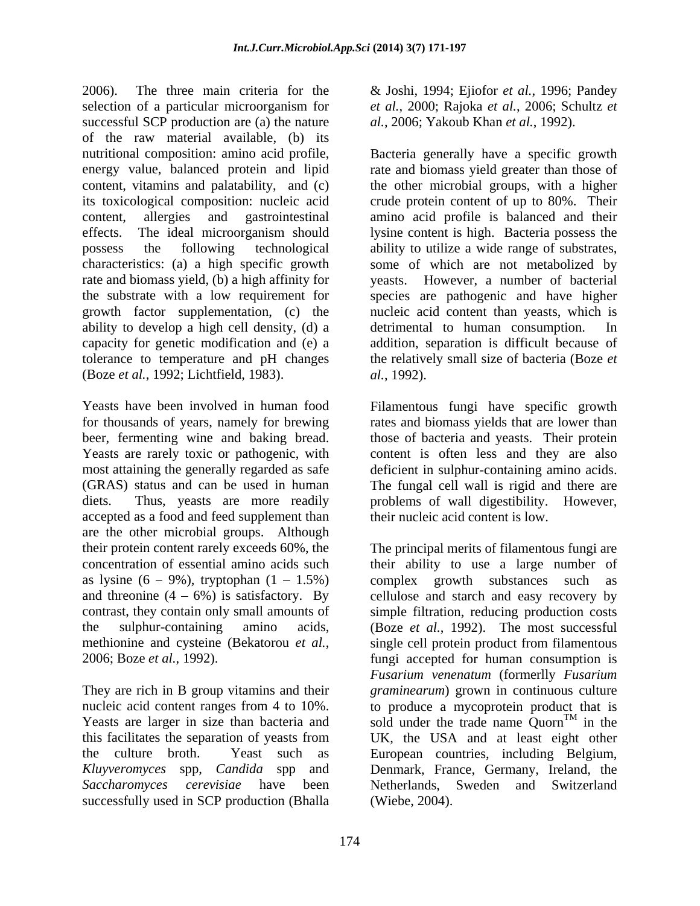2006). The three main criteria for the & Joshi, 1994; Ejiofor *et al.*, 1996; Pandey selection of a particular microorganism for successful SCP production are (a) the nature of the raw material available, (b) its ability to develop a high cell density, (d) a detrimental to human consumption. In (Boze *et al.*, 1992; Lichtfield, 1983).

accepted as a food and feed supplement than are the other microbial groups. Although their protein content rarely exceeds 60%, the as lysine  $(6 - 9\%)$ , tryptophan  $(1 - 1.5\%)$  complex growth substances such as and threonine  $(4 - 6\%)$  is satisfactory. By

*Saccharomyces cerevisiae* have been successfully used in SCP production (Bhalla

*et al.*, 2000; Rajoka *et al.*, 2006; Schultz *et al.*, 2006; Yakoub Khan *et al.*, 1992).

nutritional composition: amino acid profile, Bacteria generally have a specific growth energy value, balanced protein and lipid rate and biomass yield greater than those of content, vitamins and palatability, and (c) the other microbial groups, with a higher its toxicological composition: nucleic acid crude protein content of up to 80%. Their content, allergies and gastrointestinal amino acid profile is balanced and their effects. The ideal microorganism should lysine content is high. Bacteria possess the possess the following technological ability to utilize a wide range of substrates, characteristics: (a) a high specific growth some of which are not metabolized by rate and biomass yield, (b) a high affinity for yeasts. However, a number of bacterial the substrate with a low requirement for species are pathogenic and have higher growth factor supplementation, (c) the nucleic acid content than yeasts, which is capacity for genetic modification and (e) a addition, separation is difficult because of tolerance to temperature and pH changes the relatively small size of bacteria (Boze *et*  detrimental to human consumption. *al.*, 1992).

Yeasts have been involved in human food Filamentous fungi have specific growth for thousands of years, namely for brewing rates and biomass yields that are lower than beer, fermenting wine and baking bread. those of bacteria and yeasts. Their protein Yeasts are rarely toxic or pathogenic, with content is often less and they are also most attaining the generally regarded as safe deficient in sulphur-containing amino acids. (GRAS) status and can be used in human The fungal cell wall is rigid and there are diets. Thus, yeasts are more readily problems of wall digestibility. However, their nucleic acid content is low.

concentration of essential amino acids such their ability to use a large number of contrast, they contain only small amounts of simple filtration, reducing production costs the sulphur-containing amino acids, (Boze *et al.*, 1992). The most successful methionine and cysteine (Bekatorou *et al.*, single cell protein product from filamentous fungi accepted for human consumption is They are rich in B group vitamins and their *graminearum*) grown in continuous culture nucleic acid content ranges from 4 to 10%. to produce a mycoprotein product that is Yeasts are larger in size than bacteria and sold under the trade name  $Quorn<sup>TM</sup>$  in the this facilitates the separation of yeasts from UK, the USA and at least eight other the culture broth. Yeast such as European countries, including Belgium, *Kluyveromyces* spp, *Candida* spp and Denmark, France, Germany, Ireland, the The principal merits of filamentous fungi are complex growth substances such cellulose and starch and easy recovery by single cell protein product from filamentous fungi accepted for human consumption is *Fusarium venenatum* (formerlly *Fusarium*   $T^M$  in the Netherlands, Sweden and Switzerland (Wiebe, 2004).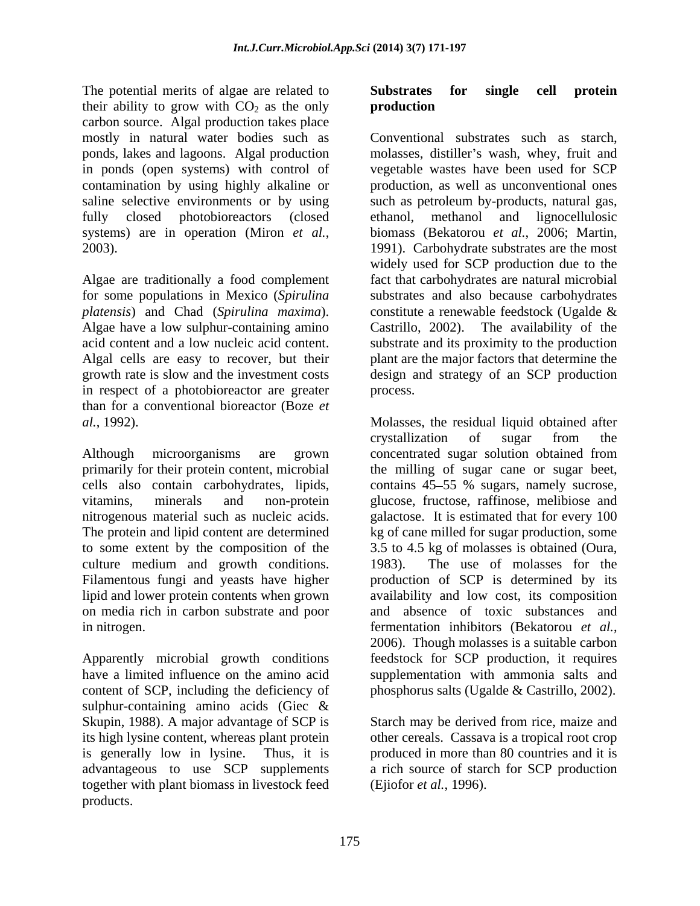The potential merits of algae are related to **Substrates for single cell protein** their ability to grow with  $CO<sub>2</sub>$  as the only **production** carbon source. Algal production takes place in ponds (open systems) with control of

*platensis*) and Chad (*Spirulina maxima*). in respect of a photobioreactor are greater than for a conventional bioreactor (Boze *et* 

culture medium and growth conditions. 1983). lipid and lower protein contents when grown on media rich in carbon substrate and poor in nitrogen. The example of the extent of the effective fermentation inhibitors (Bekatorou et al.,

content of SCP, including the deficiency of phosphorus salts (Ugalde & Castrillo, 2002). sulphur-containing amino acids (Giec & Skupin, 1988). A major advantage of SCP is<br>its high lysine content, whereas plant protein its high lysine content, whereas plant protein other cereals. Cassava is a tropical root crop is generally low in lysine. Thus, it is produced in more than 80 countries and it is advantageous to use SCP supplements a rich source of starch for SCP production together with plant biomass in livestock feed products.

### **Substrates for single cell protein production**

mostly in natural water bodies such as Conventional substrates such as starch, ponds, lakes and lagoons. Algal production molasses, distiller's wash, whey, fruit and contamination by using highly alkaline or production, as well as unconventional ones saline selective environments or by using such as petroleum by-products, natural gas, fully closed photobioreactors (closed ethanol, methanol and lignocellulosic systems) are in operation (Miron *et al.*, biomass (Bekatorou *et al.*, 2006; Martin, 2003).<br>
1991). Carbohydrate substrates are the most<br>
widely used for SCP production due to the<br>
Algae are traditionally a food complemen for some populations in Mexico (*Spirulina*  substrates and also because carbohydrates Algae have a low sulphur-containing amino Castrillo, 2002). The availability of the acid content and a low nucleic acid content. substrate and its proximity to the production Algal cells are easy to recover, but their plant are the major factors that determine the growth rate is slow and the investment costs design and strategy of an SCP production vegetable wastes have been used for SCP ethanol, methanol and lignocellulosic biomass (Bekatorou *et al.*, 2006; Martin, 1991). Carbohydrate substrates are the most widely used for SCP production due to the fact that carbohydrates are natural microbial constitute a renewable feedstock (Ugalde & process.

*al.*, 1992). Molasses, the residual liquid obtained after Although microorganisms are grown concentrated sugar solution obtained from primarily for their protein content, microbial the milling of sugar cane or sugar beet, cells also contain carbohydrates, lipids, contains 45 55 % sugars, namely sucrose, vitamins, minerals and non-protein glucose, fructose, raffinose, melibiose and nitrogenous material such as nucleic acids. galactose. It is estimated that for every 100 The protein and lipid content are determined kg of cane milled for sugar production, some to some extent by the composition of the 3.5 to 4.5 kg of molasses is obtained (Oura, Filamentous fungi and yeasts have higher production of SCP is determined by its Apparently microbial growth conditions feedstock for SCP production, it requires have a limited influence on the amino acid supplementation with ammonia salts and crystallization of sugar from the The use of molasses for the availability and low cost, its composition and absence of toxic substances and fermentation inhibitors (Bekatorou *et al.*, 2006). Though molasses is a suitable carbon

> Starch may be derived from rice, maize and (Ejiofor *et al.*, 1996).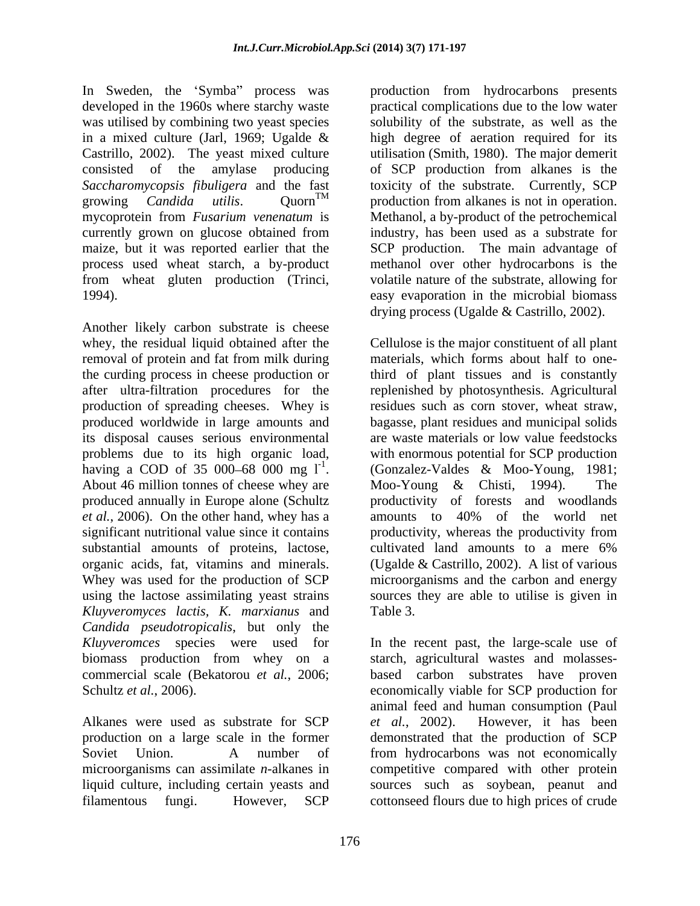In Sweden, the 'Symba'' process was

Another likely carbon substrate is cheese removal of protein and fat from milk during the curding process in cheese production or its disposal causes serious environmental problems due to its high organic load, having a COD of 35 000–68 000 mg  $1^{-1}$ . substantial amounts of proteins, lactose, cultivated land amounts to a mere 6% organic acids, fat, vitamins and minerals. *Kluyveromyces lactis, K. marxianus* and *Candida pseudotropicalis*, but only the

microorganisms can assimilate *n*-alkanes in

developed in the 1960s where starchy waste practical complications due to the low water was utilised by combining two yeast species solubility of the substrate, as well as the in a mixed culture (Jarl, 1969; Ugalde & high degree of aeration required for its Castrillo, 2002). The yeast mixed culture utilisation (Smith, 1980). The major demerit consisted of the amylase producing of SCP production from alkanes is the *Saccharomycopsis fibuligera* and the fast toxicity of the substrate. Currently, SCP growing *Candida utilis*. Quorn TM production from alkanes is not in operation. mycoprotein from *Fusarium venenatum* is Methanol, a by-product of the petrochemical currently grown on glucose obtained from industry, has been used as a substrate for maize, but it was reported earlier that the SCP production. The main advantage of process used wheat starch, a by-product methanol over other hydrocarbons is the from wheat gluten production (Trinci, volatile nature of the substrate, allowing for 1994). easy evaporation in the microbial biomass production from hydrocarbons presents drying process (Ugalde & Castrillo, 2002).

whey, the residual liquid obtained after the Cellulose is the major constituent of all plant after ultra-filtration procedures for the replenished by photosynthesis. Agricultural production of spreading cheeses. Whey is residues such as corn stover, wheat straw, produced worldwide in large amounts and bagasse, plant residues and municipal solids having a COD of 35 000–68 000 mg  $1^1$ . (Gonzalez-Valdes & Moo-Young, 1981;<br>About 46 million tonnes of cheese whey are Moo-Young & Chisti, 1994). The produced annually in Europe alone (Schultz broductivity of forests and woodlands *et al.*, 2006). On the other hand, whey has a amounts to 40% of the world net significant nutritional value since it contains productivity, whereas the productivity from Whey was used for the production of SCP microorganisms and the carbon and energy using the lactose assimilating yeast strains sources they are able to utilise is given in materials, which forms about half to onethird of plant tissues and is constantly are waste materials or low value feedstocks with enormous potential for SCP production (Gonzalez-Valdes & Moo-Young, 1981; Moo-Young & Chisti, 1994). The cultivated land amounts to a mere 6% (Ugalde & Castrillo, 2002). A list of various Table 3.

*Kluyveromces* species were used for In the recent past, the large-scale use of biomass production from whey on a starch, agricultural wastes and molasses commercial scale (Bekatorou *et al.*, 2006; based carbon substrates have proven Schultz *et al.*, 2006). <br>
Schultz *et al.*, 2006). <br>
Alkanes were used as substrate for SCP *et al.*, 2002). However, it has been production on a large scale in the former demonstrated that the production of SCP Soviet Union. A number of from hydrocarbons was not economically liquid culture, including certain yeasts and sources such as soybean, peanut and filamentous fungi. However, SCP cottonseed flours due to high prices of crudeeconomically viable for SCP production for animal feed and human consumption (Paul *et al.*, 2002). However, it has been competitive compared with other protein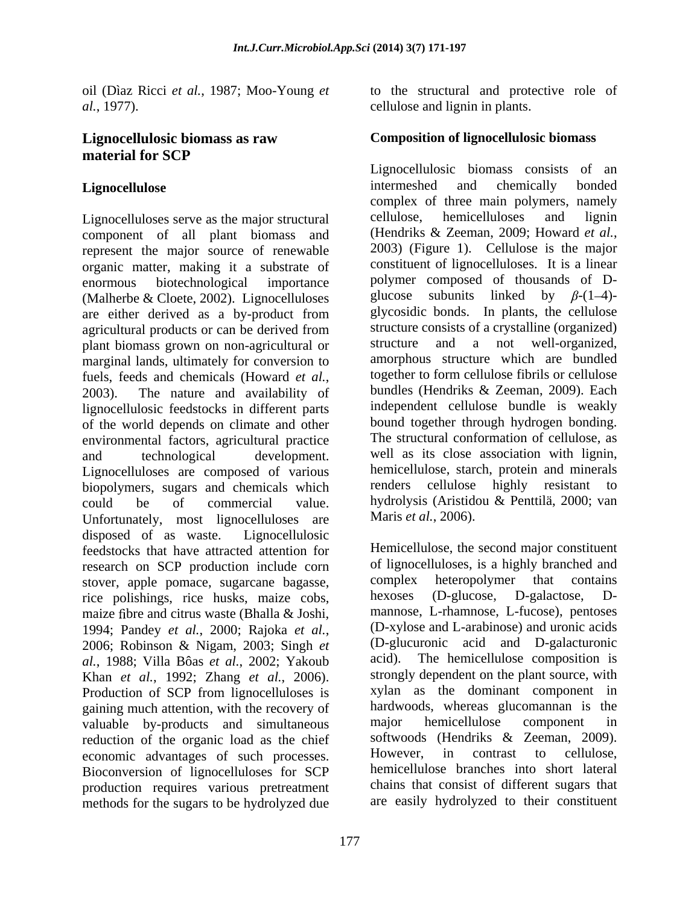oil (Dìaz Ricci *et al.*, 1987; Moo-Young *et al.*, 1977). cellulose and lignin in plants.

# **material for SCP**

component of all plant biomass and (Hendriks & Zeeman, 2009; Howard *et al.*, represent the major source of renewable 2003) (Figure 1). Cellulose is the major represent the major source of renewable organic matter, making it a substrate of enormous biotechnological importance polymer composed of thousands of D- (Malherbe & Cloete, 2002). Lignocelluloses are either derived as a by-product from agricultural products or can be derived from structure consists of a crystalline (organized)<br>
plant biomass grown on non-agricultural or structure and a not well-organized, plant biomass grown on non-agricultural or marginal lands, ultimately for conversion to fuels, feeds and chemicals (Howard *et al.*, together to form cellulose fibrils or cellulose<br>2003). The nature and availability of bundles (Hendriks & Zeeman, 2009). Each lignocellulosic feedstocks in different parts of the world depends on climate and other environmental factors, agricultural practice and technological development. well as its close association with lignin, Lignocelluloses are composed of various<br>highly starch, protein and minerals<br>highly resistant to biopolymers, sugars and chemicals which could be of commercial value. hydrolysis (Aristidou & Penttilä, 2000; van Unfortunately, most lignocelluloses are Maris *et al.*, 2006). disposed of as waste. Lignocellulosic feedstocks that have attracted attention for research on SCP production include corn of lignocelluloses, is a highly branched and stover annle pomace sugarcane bagasse complex heteropolymer that contains stover, apple pomace, sugarcane bagasse, complex heteropolymer that contains rice nolishing rice husks maize cohs between the politics. D-galactose, Drice polishings, rice husks, maize cobs, maize fibre and citrus waste (Bhalla & Joshi, 1994; Pandey *et al.*, 2000; Rajoka *et al.*, 2006; Robinson & Nigam, 2003; Singh *et al.*, 1988; Villa Bôas *et al.*, 2002; Yakoub Khan *et al.*, 1992; Zhang *et al.*, 2006). Strongly dependent on the plant source, with Production of SCP from lignocelluloses is zylan as the dominant component in gaining much attention, with the recovery of hardwoods, whereas glucomannan is the valuable by-products and simultaneous major hemicellulose component in valuable by-products and simultaneous major hemicellulose component in reduction of the organic load as the chief softwoods (Hendriks & Zeeman, 2009). reduction of the organic load as the chief softwoods (Hendriks & Zeeman, 2009).<br>
economic advantages of such processes However, in contrast to cellulose. economic advantages of such processes. Bioconversion of lignocelluloses for SCP production requires various pretreatment methods for the sugars to be hydrolyzed due

to the structural and protective role of

## **Lignocellulosic biomass as raw Composition of lignocellulosic biomass**

Lignocellulose **Example 2** intermeshed and chemically bonded Lignocelluloses serve as the major structural cellulose, hemicelluloses and lignin component of all plant biomass and (Hendriks & Zeeman, 2009; Howard *et al.*, Lignocellulosic biomass consists of an intermeshed and chemically bonded complex of three main polymers, namely cellulose, hemicelluloses and lignin (Hendriks & Zeeman, 2009; Howard *et al.*, 2003) (Figure 1). Cellulose is the major constituent of lignocelluloses. It is a linear subunits linked by  $\beta$ -(1-4)glycosidic bonds. In plants, the cellulose structure consists of a crystalline (organized) structure and a not well-organized, amorphous structure which are bundled together to form cellulose fibrils or cellulose bundles (Hendriks & Zeeman, 2009). Each independent cellulose bundle is weakly bound together through hydrogen bonding. The structural conformation of cellulose, as hemicellulose, starch, protein and minerals renders cellulose highly resistant to

Maris *et al.*, 2006).<br>Hemicellulose, the second major constituent of lignocelluloses, is a highly branched and complex heteropolymer that contains hexoses (D-glucose, D-galactose, D mannose, L-rhamnose, L-fucose), pentoses (D-xylose and L-arabinose) and uronic acids (D-glucuronic acid and D-galacturonic The hemicellulose composition is strongly dependent on the plant source, with xylan as the dominant component in hardwoods, whereas glucomannan is the major hemicellulose component in softwoods (Hendriks & Zeeman, 2009). However, in contrast to cellulose, hemicellulose branches into short lateral chains that consist of different sugars that are easily hydrolyzed to their constituent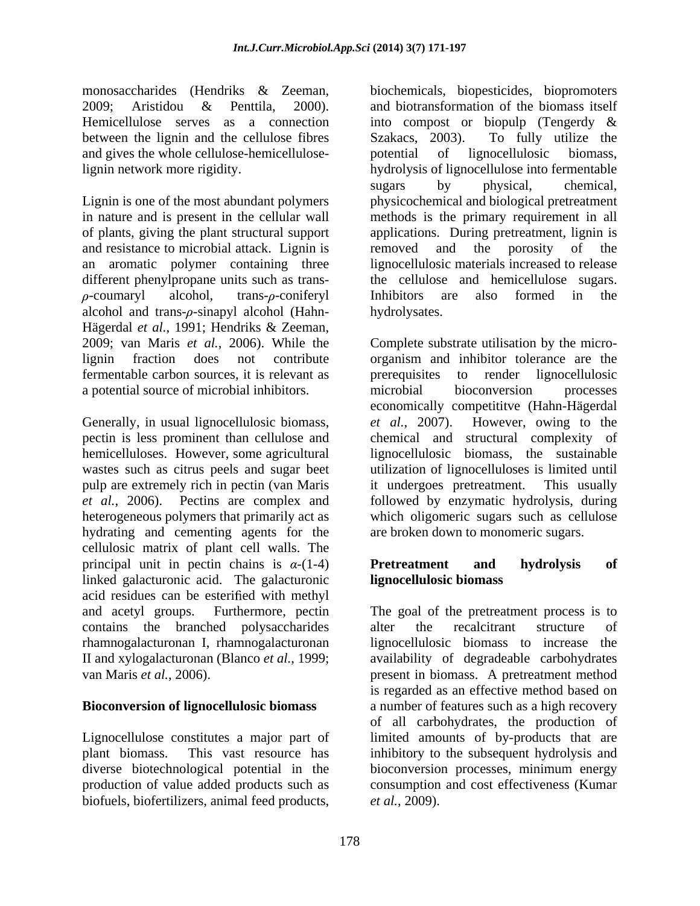Hemicellulose serves as a connection into compost or biopulp (Tengerdy & between the lignin and the cellulose fibres Szakacs, 2003). To fully utilize the and gives the whole cellulose-hemicellulose-

and resistance to microbial attack. Lignin is removed and the porosity of the different phenylpropane units such as trans-<br>the cellulose and hemicellulose sugars. alcohol and trans- $\rho$ -sinapyl alcohol (Hahn-<br>hydrolysates. Hägerdal *et al.*, 1991; Hendriks & Zeeman, fermentable carbon sources, it is relevant as a potential source of microbial inhibitors.

Generally, in usual lignocellulosic biomass, et al., 2007). However, owing to the wastes such as citrus peels and sugar beet pulp are extremely rich in pectin (van Maris it undergoes pretreatment. This usually hydrating and cementing agents for the cellulosic matrix of plant cell walls. The principal unit in pectin chains is  $\alpha$ -(1-4) **Pretreatment** and hydrolysis of linked galacturonic acid. The galacturonic acid residues can be esterified with methyl contains the branched polysaccharides

### **Bioconversion of lignocellulosic biomass**

diverse biotechnological potential in the bioconversion processes, minimum energy biofuels, biofertilizers, animal feed products,

monosaccharides (Hendriks & Zeeman, biochemicals, biopesticides, biopromoters 2009; Aristidou & Penttila, 2000). and biotransformation of the biomass itself lignin network more rigidity. hydrolysis of lignocellulose into fermentable Lignin is one of the most abundant polymers physicochemical and biological pretreatment in nature and is present in the cellular wall methods is the primary requirement in all of plants, giving the plant structural support applications. During pretreatment, lignin is an aromatic polymer containing three lignocellulosic materials increased to release -coumaryl alcohol, trans- $\rho$ -coniferyl Inhibitors are also formed in the into compost or biopulp (Tengerdy & Szakacs, 2003). To fully utilize the potential of lignocellulosic biomass, sugars by physical, chemical, removed and the porosity of the the cellulose and hemicellulose sugars.Inhibitors are also formed in the hydrolysates.

2009; van Maris *et al.*, 2006). While the Complete substrate utilisation by the micro lignin fraction does not contribute organism and inhibitor tolerance are the pectin is less prominent than cellulose and chemical and structural complexity of hemicelluloses. However, some agricultural lignocellulosic biomass, the sustainable *et al.*, 2006). Pectins are complex and followed by enzymatic hydrolysis, during heterogeneous polymers that primarily act as which oligomeric sugars such as cellulose prerequisites to render lignocellulosic microbial bioconversion processes economically competititve (Hahn-Hägerdal *et al.*, 2007). However, owing to the utilization of lignocelluloses is limited until it undergoes pretreatment. This usually are broken down to monomeric sugars.

### **Pretreatment and hydrolysis of lignocellulosic biomass**

and acetyl groups. Furthermore, pectin The goal of the pretreatment process is to rhamnogalacturonan I, rhamnogalacturonan lignocellulosic biomass to increase the II and xylogalacturonan (Blanco *et al.*, 1999; availability of degradeable carbohydrates van Maris *et al.*, 2006). present in biomass. A pretreatment method Lignocellulose constitutes a major part of limited amounts of by-products that are plant biomass. This vast resource has inhibitory to the subsequent hydrolysis and production of value added products such as consumption and cost effectiveness (Kumar alter the recalcitrant structure of is regarded as an effective method based on a number of features such as a high recovery of all carbohydrates, the production of bioconversion processes, minimum energy *et al.*, 2009).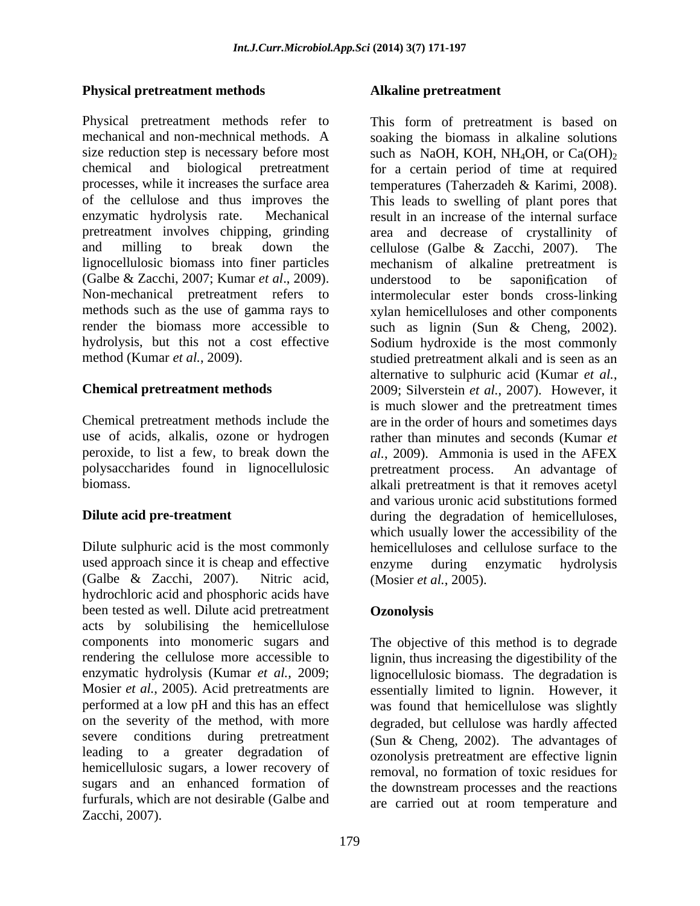### **Physical pretreatment methods**

Physical pretreatment methods refer to This form of pretreatment is based on mechanical and non-mechnical methods. A soaking the biomass in alkaline solutions size reduction step is necessary before most such as NaOH, KOH, NH<sub>4</sub>OH, or Ca $(OH)_2$ chemical and biological pretreatment for a certain period of time at required processes, while it increases the surface area temperatures (Taherzadeh & Karimi, 2008). of the cellulose and thus improves the enzymatic hydrolysis rate. Mechanical result in an increase of the internal surface pretreatment involves chipping, grinding area and decrease of crystallinity of and milling to break down the cellulose (Galbe & Zacchi, 2007). The lignocellulosic biomass into finer particles mechanism of alkaline pretreatment is (Galbe & Zacchi, 2007; Kumar *et al*., 2009). Non-mechanical pretreatment refers to intermolecular ester bonds cross-linking methods such as the use of gamma rays to xylan hemicelluloses and other components render the biomass more accessible to such as lignin (Sun & Cheng, 2002). hydrolysis, but this not a cost effective Sodium hydroxide is the most commonly

use of acids, alkalis, ozone or hydrogen polysaccharides found in lignocellulosic

used approach since it is cheap and effective enzyme during enzymatic hydrolysis (Galbe & Zacchi, 2007). Nitric acid, (Mosier *et al.*, 2005). hydrochloric acid and phosphoric acids have been tested as well. Dilute acid pretreatment **Ozonolysis** acts by solubilising the hemicellulose severe conditions during pretreatment hemicellulosic sugars, a lower recovery of sugars and an enhanced formation of furfurals, which are not desirable (Galbe and Zacchi, 2007).

### **Alkaline pretreatment**

method (Kumar *et al.*, 2009). studied pretreatment alkali and is seen as an **Chemical pretreatment methods** 2009; Silverstein et al., 2007). However, it Chemical pretreatment methods include the are in the order of hours and sometimes days peroxide, to list a few, to break down the *al.*, 2009). Ammonia is used in the AFEX biomass. alkali pretreatment is that it removes acetyl **Dilute acid pre-treatment** during the degradation of hemicelluloses, Dilute sulphuric acid is the most commonly hemicelluloses and cellulose surface to the temperatures (Taherzadeh & Karimi, 2008). This leads to swelling of plant pores that cellulose (Galbe & Zacchi, 2007). The understood to be saponification of alternative to sulphuric acid (Kumar *et al.*, 2009; Silverstein *et al.*, 2007). However, it is much slower and the pretreatment times rather than minutes and seconds (Kumar *et*  pretreatment process. An advantage of and various uronic acid substitutions formed which usually lower the accessibility of the enzyme during enzymatic hydrolysis (Mosier *et al.*, 2005).

### **Ozonolysis**

components into monomeric sugars and The objective of this method is to degrade rendering the cellulose more accessible to lignin, thus increasing the digestibility of the enzymatic hydrolysis (Kumar *et al.*, 2009; lignocellulosic biomass. The degradation is Mosier *et al.*, 2005). Acid pretreatments are essentially limited to lignin. However, it performed at a low pH and this has an effect was found that hemicellulose was slightly on the severity of the method, with more degraded, but cellulose was hardly affected leading to a greater degradation of ozonolysis pretreatment are effective lignin (Sun & Cheng, 2002). The advantages of removal, no formation of toxic residues for the downstream processes and the reactions are carried out at room temperature and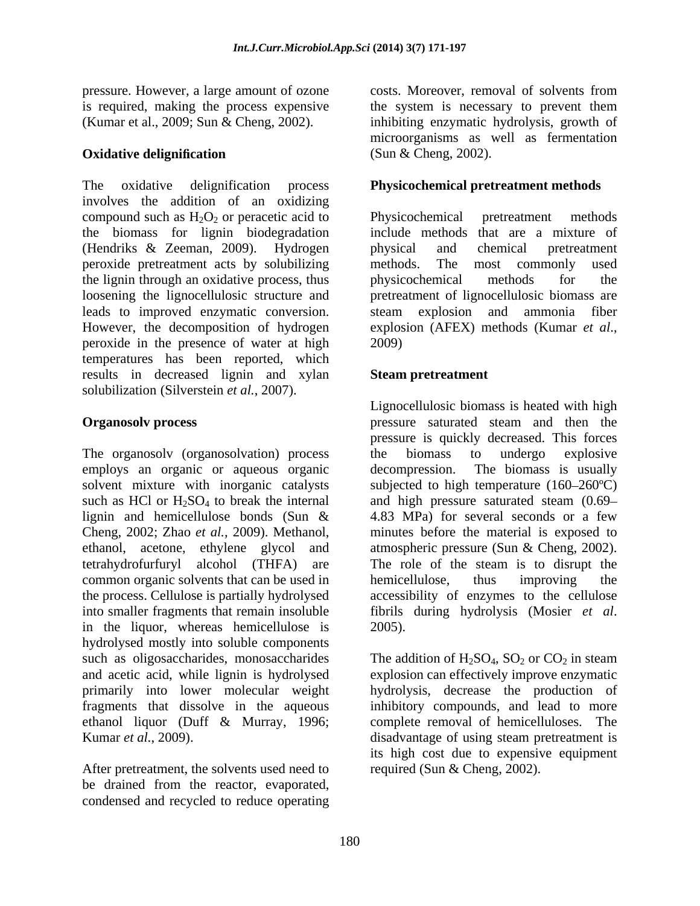pressure. However, a large amount of ozone

The oxidative delignification process **Physicochemical pretreatment methods** involves the addition of an oxidizing compound such as  $H_2O_2$  or peracetic acid to Physicochemical pretreatment methods the biomass for lignin biodegradation (Hendriks & Zeeman, 2009). Hydrogen peroxide pretreatment acts by solubilizing methods. The most commonly used the lignin through an oxidative process, thus bysicochemical methods for the loosening the lignocellulosic structure and pretreatment of lignocellulosic biomass are leads to improved enzymatic conversion. steam explosion and ammonia fiber However, the decomposition of hydrogen explosion (AFEX) methods (Kumar et al., peroxide in the presence of water at high temperatures has been reported, which results in decreased lignin and xylan solubilization (Silverstein *et al.*, 2007).

The organosolv (organosolvation) process the biomass to undergo explosive employs an organic or aqueous organic decompression. The biomass is usually common organic solvents that can be used in hemicellulose, thus improving the into smaller fragments that remain insoluble fibrils during hydrolysis (Mosier *et al.*) in the liquor, whereas hemicellulose is 2005). hydrolysed mostly into soluble components such as oligosaccharides, monosaccharides The addition of  $H_2SO_4$ ,  $SO_2$  or  $CO_2$  in steam and acetic acid, while lignin is hydrolysed explosion can effectively improve enzymatic primarily into lower molecular weight hydrolysis, decrease the production of fragments that dissolve in the aqueous inhibitory compounds, and lead to more ethanol liquor (Duff & Murray, 1996;

be drained from the reactor, evaporated, condensed and recycled to reduce operating

is required, making the process expensive the system is necessary to prevent them (Kumar et al., 2009; Sun & Cheng, 2002). inhibiting enzymatic hydrolysis, growth of **Oxidative delignification** (Sun & Cheng, 2002). costs. Moreover, removal of solvents from microorganisms as well as fermentation (Sun & Cheng, 2002).

Physicochemical pretreatment methods include methods that are a mixture of physical and chemical pretreatment methods. The most commonly used physicochemical methods for the explosion (AFEX) methods (Kumar *et al*., 2009)

### **Steam pretreatment**

**Organosolv process** pressure saturated steam and then the solvent mixture with inorganic catalysts subjected to high temperature (160–260°C) such as HCl or  $H_2SO_4$  to break the internal and high pressure saturated steam (0.69– lignin and hemicellulose bonds (Sun & 4.83 MPa) for several seconds or a few Cheng, 2002; Zhao *et al.*, 2009). Methanol, minutes before the material is exposed to ethanol, acetone, ethylene glycol and atmospheric pressure (Sun & Cheng, 2002). tetrahydrofurfuryl alcohol (THFA) are The role of the steam is to disrupt the the process. Cellulose is partially hydrolysed accessibility of enzymes to the cellulose Lignocellulosic biomass is heated with high pressure is quickly decreased. This forces the biomass to undergo explosive decompression. The biomass is usually 4.83 MPa) for several seconds or a few hemicellulose, thus improving the fibrils during hydrolysis (Mosier *et al*. 2005).

Kumar *et al.*, 2009).<br>
After pretreatment, the solvents used need to the solution of the solvents used need to the required (Sun & Cheng, 2002). complete removal of hemicelluloses. The disadvantage of using steam pretreatment is its high cost due to expensive equipment required (Sun & Cheng, 2002).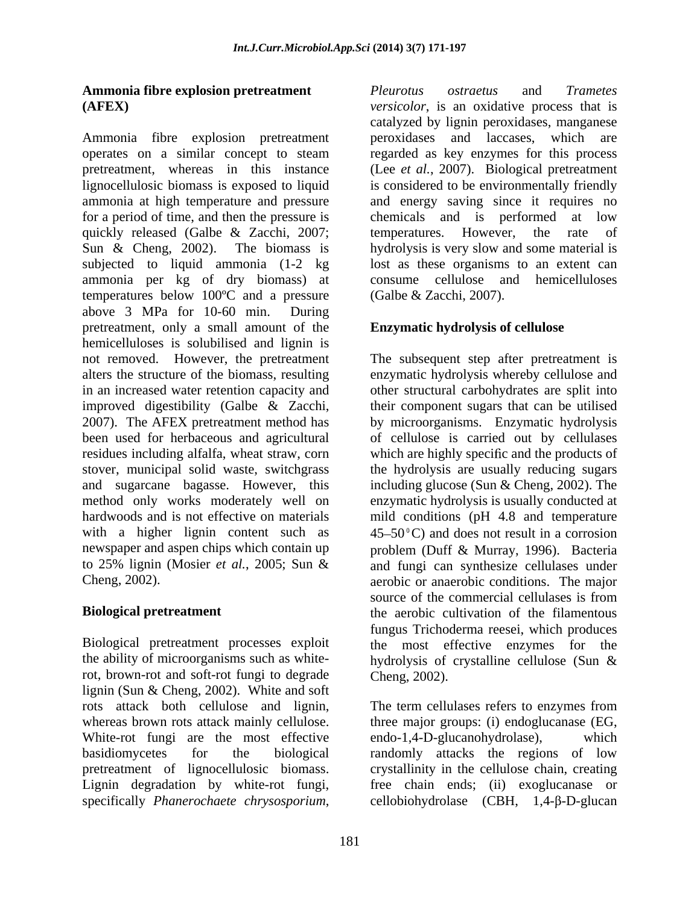Ammonia fibre explosion pretreatment peroxidases and laccases, which are operates on a similar concept to steam regarded as key enzymes for this process pretreatment, whereas in this instance (Lee *et al.*, 2007). Biological pretreatment lignocellulosic biomass is exposed to liquid is considered to be environmentally friendly ammonia at high temperature and pressure and energy saving since it requires no for a period of time, and then the pressure is quickly released (Galbe & Zacchi, 2007; temperatures. However, the rate of Sun & Cheng, 2002). The biomass is hydrolysis is very slow and some material is subjected to liquid ammonia (1-2 kg ammonia per kg of dry biomass) at temperatures below 100ºC and a pressure above 3 MPa for 10-60 min. During pretreatment, only a small amount of the hemicelluloses is solubilised and lignin is not removed. However, the pretreatment The subsequent step after pretreatment is alters the structure of the biomass, resulting in an increased water retention capacity and other structural carbohydrates are split into improved digestibility (Galbe  $\&$  Zacchi, their component sugars that can be utilised 2007). The AFEX pretreatment method has been used for herbaceous and agricultural of cellulose is carried out by cellulases residues including alfalfa, wheat straw, corn which are highly specific and the products of stover, municipal solid waste, switchgrass the hydrolysis are usually reducing sugars and sugarcane bagasse. However, this method only works moderately well on enzymatic hydrolysis is usually conducted at hardwoods and is not effective on materials mild conditions (pH 4.8 and temperature with a higher lignin content such as newspaper and aspen chips which contain up problem (Duff & Murray, 1996). Bacteria to 25% lignin (Mosier *et al.*, 2005; Sun & and fungi can synthesize cellulases under Cheng, 2002). **Amuzula fibre explosion preferentment**<br> **Amuzula Figre conduct and** *Transic* **conduction can also the particular conduction conduction in the conduction of the conduction of the conduction of the state is the state of the** 

rot, brown-rot and soft-rot fungi to degrade lignin (Sun & Cheng, 2002). White and soft White-rot fungi are the most effective endo-1.4-D-glucanohydrolase). which Lignin degradation by white-rot fungi,

**Ammonia fibre explosion pretreatment** *Pleurotus ostraetus* and *Trametes* **(AFEX)** *versicolor*, is an oxidative process that is catalyzed by lignin peroxidases, manganese peroxidases and laccases, which chemicals and is performed at low temperatures. However, the rate of lost as these organisms to an extent can consume cellulose and hemicelluloses (Galbe & Zacchi, 2007).

## **Enzymatic hydrolysis of cellulose**

**Biological pretreatment** the aerobic cultivation of the filamentous Biological pretreatment processes exploit the most effective enzymes for the the ability of microorganisms such as white-hydrolysis of crystalline cellulose (Sun & enzymatic hydrolysis whereby cellulose and by microorganisms. Enzymatic hydrolysis including glucose (Sun & Cheng, 2002). The  $45 - 50^{\circ}$ C) and does not result in a corrosion aerobic or anaerobic conditions. The major source of the commercial cellulases is from fungus Trichoderma reesei, which produces Cheng, 2002).

rots attack both cellulose and lignin, The term cellulases refers to enzymes from whereas brown rots attack mainly cellulose. three major groups: (i) endoglucanase (EG, basidiomycetes for the biological randomly attacks the regions of low pretreatment of lignocellulosic biomass. crystallinity in the cellulose chain, creating endo-1,4-D-glucanohydrolase), free chain ends; (ii) exoglucanase or  $cellobiohydrolase$  (CBH, 1,4- $\beta$ -D-glucan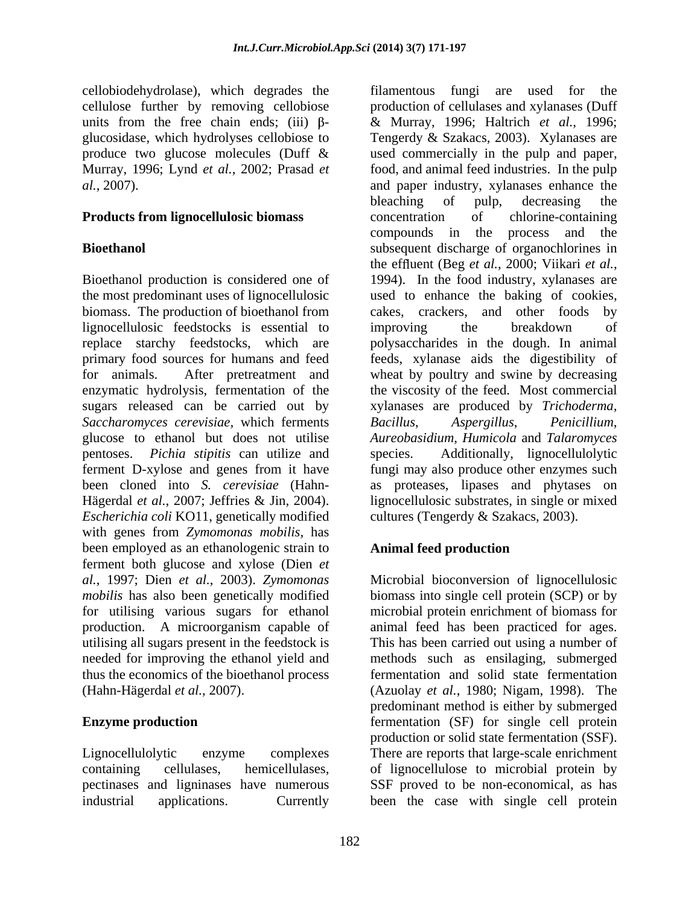cellobiodehydrolase), which degrades the cellulose further by removing cellobiose *al.*, 2007).

Bioethanol production is considered one of 1994). In the food industry, xylanases are biomass. The production of bioethanol from cakes, crackers, and other foods by lignocellulosic feedstocks is essential to improving the breakdown of *Saccharomyces cerevisiae,* which ferments glucose to ethanol but does not utilise pentoses. *Pichia stipitis* can utilize and *Escherichia coli* KO11, genetically modified with genes from *Zymomonas mobilis,* has been employed as an ethanologenic strain to **Animal feed production** ferment both glucose and xylose (Dien *et al.*, 1997; Dien *et al.*, 2003). Zymomonas *al.*, 1997; Dien *et al.*, 2003). *Zymomonas*  Microbial bioconversion of lignocellulosic *mobilis* has also been genetically modified biomass into single cell protein (SCP) or by for utilising various sugars for ethanol microbial protein enrichment of biomass for production. A microorganism capable of animal feed has been practiced for ages. utilising all sugars present in the feedstock is This has been carried out using a number of needed for improving the ethanol yield and methods such as ensilaging, submerged thus the economics of the bioethanol process (Hahn-Hägerdal *et al.*, 2007).

industrial applications. Currently been the case with single cell protein

units from the free chain ends; (iii)  $\beta$ - & Murray, 1996; Haltrich *et al.*, 1996; glucosidase, which hydrolyses cellobiose to Tengerdy & Szakacs, 2003). Xylanases are produce two glucose molecules (Duff & used commercially in the pulp and paper, Murray, 1996; Lynd *et al.*, 2002; Prasad *et* food, and animal feed industries. In the pulp **Products from lignocellulosic biomass** concentration of chlorine-containing **Bioethanol** subsequent discharge of organochlorines in the most predominant uses of lignocellulosic used to enhance the baking of cookies, replace starchy feedstocks, which are polysaccharides in the dough. In animal primary food sources for humans and feed feeds, xylanase aids the digestibility of for animals. After pretreatment and wheat by poultry and swine by decreasing enzymatic hydrolysis, fermentation of the the viscosity of the feed. Most commercial sugars released can be carried out by xylanases are produced by *Trichoderma*, ferment D-xylose and genes from it have fungi may also produce other enzymes such been cloned into *S. cerevisiae* (Hahn- as proteases, lipases and phytases on Hägerdal *et al.*, 2007; Jeffries & Jin, 2004). lignocellulosic substrates, in single or mixed filamentous fungi are used for production of cellulases and xylanases (Duff and paper industry, xylanases enhance the bleaching of pulp, decreasing the concentration of chlorine-containing compounds in the process and the the effluent (Beg *et al.*, 2000; Viikari *et al.*, 1994). In the food industry, xylanases are cakes, crackers, and other foods improving the breakdown of  $A$ *spergillus*, *Aureobasidium*, *Humicola* and *Talaromyces* Additionally, lignocellulolytic cultures (Tengerdy & Szakacs, 2003).

### **Animal feed production**

**Enzyme production Enzyme production Example 1 Example 1 Example 1 EXECU EXECU EXECU EXECU EXECU EXECU EXECU EXECU EXECU EXECU EXECU EXECU EXECU EXECU EXECU EXECU EXECU EXECU E** Lignocellulolytic enzyme complexes There are reports that large-scale enrichment containing cellulases, hemicellulases, of lignocellulose to microbial protein by pectinases and ligninases have numerous SSF proved to be non-economical, as has fermentation and solid state fermentation (Azuolay *et al.*, 1980; Nigam, 1998). The predominant method is either by submerged production or solid state fermentation (SSF).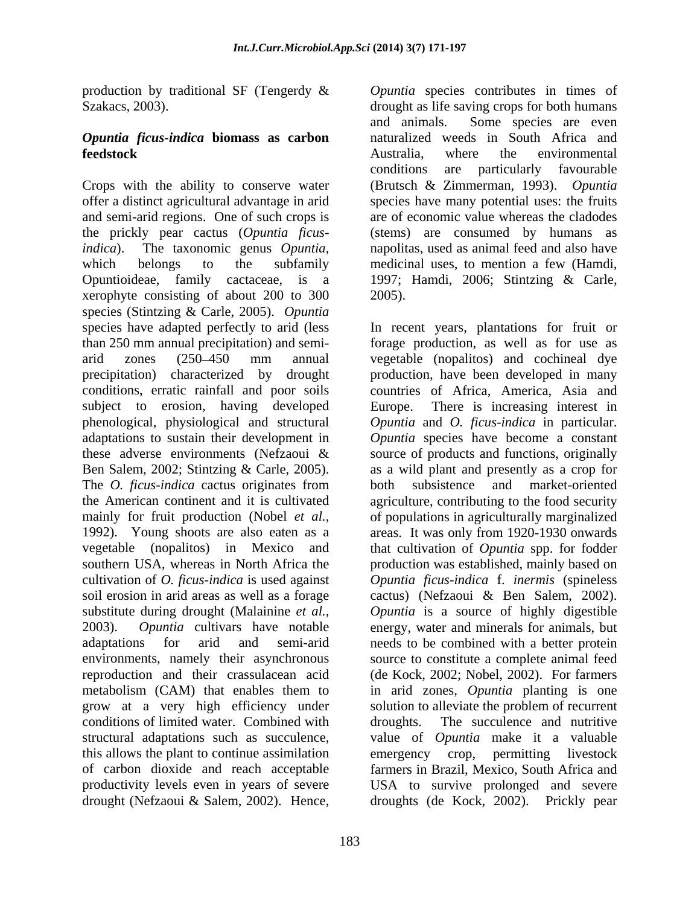production by traditional SF (Tengerdy  $\&$  *Opuntia* species contributes in times of Szakacs, 2003).

# *Opuntia ficus-indica* **biomass as carbon**

Crops with the ability to conserve water (Brutsch & Zimmerman, 1993). *Opuntia* offer a distinct agricultural advantage in arid species have many potential uses: the fruits and semi-arid regions. One of such crops is the prickly pear cactus(*Opuntia ficusindica*). The taxonomic genus *Opuntia*, anapolitas, used as animal feed and also have which belongs to the subfamily medicinal uses, to mention a few (Hamdi, Opuntioideae, family cactaceae, is a 1997; Hamdi, 2006; Stintzing & Carle, xerophyte consisting of about 200 to 300 species (Stintzing & Carle, 2005). *Opuntia* conditions, erratic rainfall and poor soils subject to erosion, having developed Europe. southern USA, whereas in North Africa the environments, namely their asynchronous conditions of limited water. Combined with this allows the plant to continue assimilation production by matterial SF (Tengerky & *Choualis* questics contributes in times of the contributes contributes (Contributes in the species of the excellent (Netza-Leberation). The species of the excellent of the species co

**feedstock** Australia, where the environmental drought as life saving crops for both humans and animals. Some species are even naturalized weeds in South Africa and Australia, where the environmental conditions are particularly favourable are of economic value whereas the cladodes (stems) are consumed by humans as napolitas, used as animal feed and also have medicinal uses, to mention a few (Hamdi, 2005).

species have adapted perfectly to arid (less In recent years, plantations for fruit or than 250 mm annual precipitation) and semi- forage production, as well as for use as arid zones (250 450 mm annual vegetable (nopalitos)and cochineal dye precipitation) characterized by drought production, have been developed in many phenological, physiological and structural *Opuntia* and *O. ficus-indica* in particular. adaptations to sustain their development in *Opuntia* species have become a constant these adverse environments (Nefzaoui & source of products and functions, originally Ben Salem, 2002; Stintzing & Carle, 2005). <br>The *O. ficus-indica* cactus originates from both subsistence and market-oriented the American continent and it is cultivated agriculture, contributing to the food security mainly for fruit production (Nobel *et al.*, of populations in agriculturally marginalized 1992). Young shoots are also eaten as a a areas. It was only from 1920-1930 onwards vegetable (nopalitos) in Mexico and that cultivation of *Opuntia* spp. for fodder cultivation of *O. ficus-indica* is used against *Opuntia ficus-indica* f. *inermis* (spineless soil erosion in arid areas as well as a forage cactus) (Nefzaoui & Ben Salem, 2002). substitute during drought (Malainine *et al.*, *Opuntia* is a source of highly digestible 2003). *Opuntia* cultivars have notable energy, water and minerals for animals, but adaptations for arid and semi-arid needs to be combined with a better protein reproduction and their crassulacean acid (de Kock, 2002; Nobel, 2002). For farmers metabolism (CAM) that enables them to in arid zones, *Opuntia* planting is one grow at a very high efficiency under solution to alleviate the problem of recurrent structural adaptations such as succulence, value of *Opuntia* make it a valuable of carbon dioxide and reach acceptable farmers in Brazil, Mexico, South Africa and productivity levels even in years of severe USA to survive prolonged and severe countries of Africa, America, Asia and There is increasing interest in as a wild plant and presently as a crop for both subsistence and market-oriented of populations in agriculturally marginalized areas. It was only from 1920-1930 onwards production was established, mainly based on *Opuntia* is a source of highly digestible energy, water and minerals for animals, but source to constitute a complete animal feed The succulence and nutritive emergency crop, permitting livestock droughts (de Kock, 2002). Prickly pear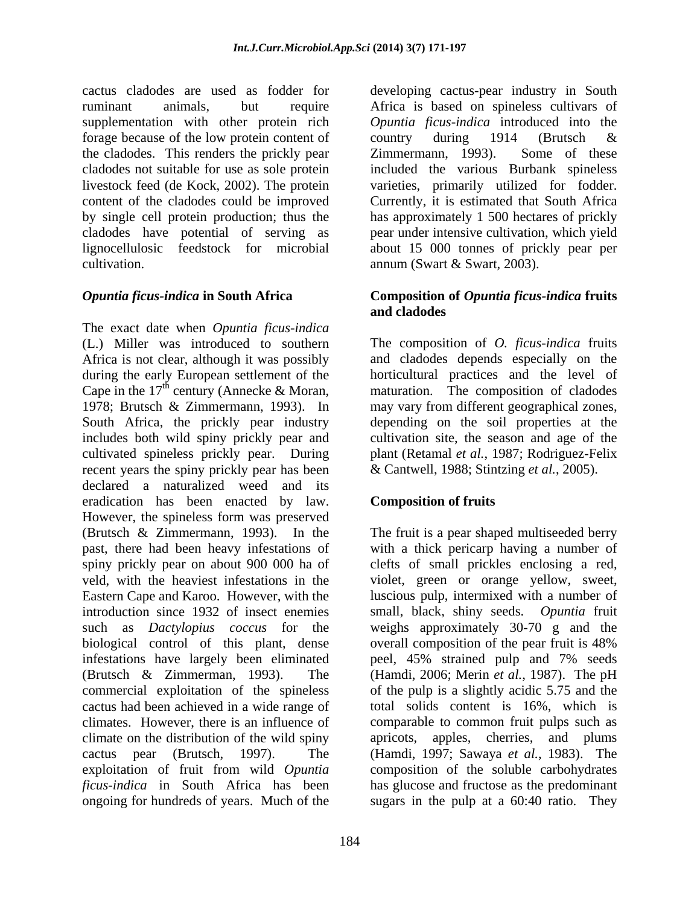cactus cladodes are used as fodder for developing cactus-pear industry in South ruminant animals, but require Africa is based on spineless cultivars of supplementation with other protein rich forage because of the low protein content of country during 1914 (Brutsch & the cladodes. This renders the prickly pear Zimmermann, 1993). Some of these cladodes not suitable for use as sole protein included the various Burbank spineless livestock feed (de Kock, 2002). The protein varieties, primarily utilized for fodder. content of the cladodes could be improved Currently, it is estimated that South Africa by single cell protein production; thus the has approximately 1 500 hectares of prickly cladodes have potential of serving as pear under intensive cultivation, which yield lignocellulosic feedstock for microbial about 15 000 tonnes of prickly pear per cultivation.

The exact date when *Opuntia ficus-indica* (L.) Miller was introduced to southern The composition of *O. ficus-indica* fruits Africa is not clear, although it was possibly and cladodes depends especially on the during the early European settlement of the Cape in the 17<sup>th</sup> century (Annecke & Moran, 1978; Brutsch & Zimmermann, 1993). In 1978; Brutsch & Zimmermann, 1993). In may vary from different geographical zones, South Africa, the prickly pear industry includes both wild spiny prickly pear and cultivated spineless prickly pear. During plant (Retamal *et al.*, 1987; Rodriguez-Felix recent years the spiny prickly pear has been declared a naturalized weed and its eradication has been enacted by law. However, the spineless form was preserved (Brutsch & Zimmermann, 1993). In the The fruit is a pear shaped multiseeded berry past, there had been heavy infestations of with a thick pericarp having a number of spiny prickly pear on about 900 000 ha of clefts of small prickles enclosing a red, veld, with the heaviest infestations in the violet, green or orange yellow, sweet, Eastern Cape and Karoo. However, with the luscious pulp, intermixed with a number of introduction since 1932 of insect enemies small, black, shiny seeds. *Opuntia* fruit such as *Dactylopius coccus* for the weighs approximately 30-70 g and the biological control of this plant, dense overall composition of the pear fruit is 48% infestations have largely been eliminated peel, 45% strained pulp and 7% seeds (Brutsch & Zimmerman, 1993). The (Hamdi, 2006; Merin *et al.*, 1987). The pH commercial exploitation of the spineless cactus had been achieved in a wide range of total solids content is 16%, which is climates. However, there is an influence of comparable to common fruit pulps such as climate on the distribution of the wild spiny apricots, apples, cherries, and plums cactus pear (Brutsch, 1997). The (Hamdi, 1997; Sawaya *et al.*, 1983). The exploitation of fruit from wild *Opuntia ficus-indica* in South Africa has been hasglucose and fructose as the predominant ongoing for hundreds of years. Much of the sugars in the pulp at a 60:40 ratio. They

*Opuntia ficus-indica* introduced into the country during 1914 (Brutsch & Zimmermann, 1993). Some of these annum (Swart & Swart, 2003).

### *Opuntia ficus-indica* **in South Africa Composition of** *Opuntia ficus-indica* **fruits and cladodes**

horticultural practices and the level of maturation. The composition of cladodes depending on the soil properties at the cultivation site, the season and age of the & Cantwell, 1988; Stintzing *et al.*, 2005).

## **Composition of fruits**

small, black, shiny seeds. *Opuntia* fruit overall composition of the pear fruit is 48% of the pulp is a slightly acidic 5.75 and the composition of the soluble carbohydrates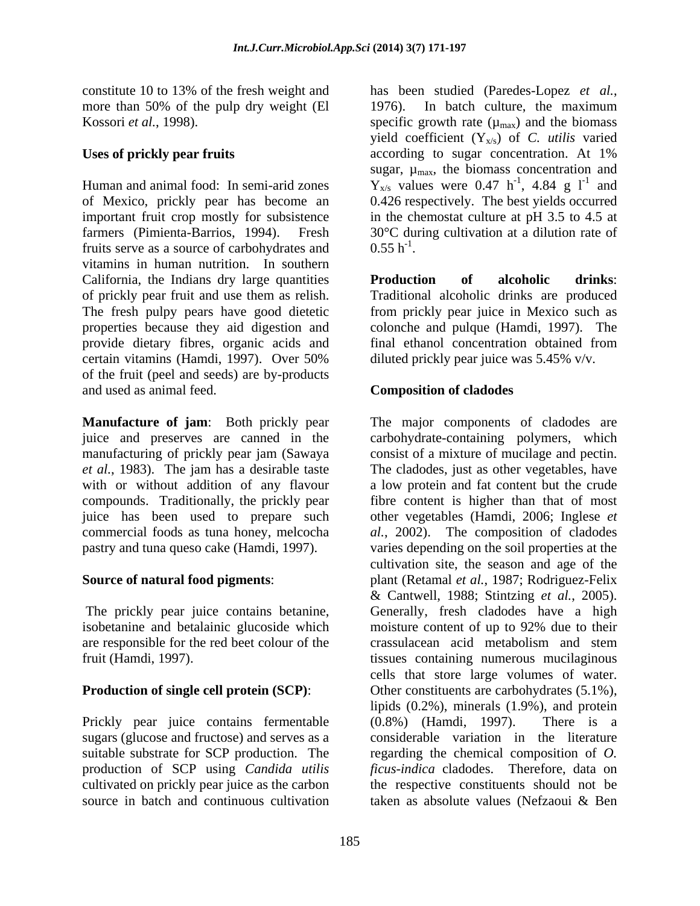constitute 10 to 13% of the fresh weight and has been studied (Paredes-Lopez *et al.*, more than 50% of the pulp dry weight (El 1976). In batch culture, the maximum

important fruit crop mostly for subsistence fruits serve as a source of carbohydrates and  $0.55 h^{-1}$ . vitamins in human nutrition. In southern California, the Indians dry large quantities **Production** of **alcoholic** drinks: of prickly pear fruit and use them as relish. Traditional alcoholic drinks are produced The fresh pulpy pears have good dietetic from prickly pear juice in Mexico such as properties because they aid digestion and colonche and pulque (Hamdi, 1997). The provide dietary fibres, organic acids and certain vitamins (Hamdi, 1997). Over 50% of the fruit (peel and seeds) are by-products and used as animal feed. **Composition of cladodes**

**Manufacture of jam**: Both prickly pear manufacturing of prickly pear jam (Sawaya consist of a mixture of mucilage and pectin. *et al.*, 1983). The jam has a desirable taste commercial foods as tuna honey, melcocha *al.*, 2002).

isobetanine and betalainic glucoside which moisture content of up to 92% due to their are responsible for the red beet colour of the

Prickly pear juice contains fermentable (0.8%) (Hamdi, 1997). There is a cultivated on prickly pear juice as the carbon source in batch and continuous cultivation taken as absolute values (Nefzaoui & Ben

Kossori *et al.*, 1998). Specific growth rate  $(\mu_{max})$  and the biomass Uses of prickly pear fruits according to sugar concentration. At 1% Human and animal food: In semi-arid zones  $Y_{x/s}$  values were 0.47 h<sup>-1</sup>, 4.84 g l<sup>-1</sup> and of Mexico, prickly pear has become an 0.426 respectively. The best yields occurred farmers (Pimienta-Barrios, 1994). Fresh 30°C during cultivation at a dilution rate of has been studied (Paredes-Lopez *et al.*, 1976). In batch culture, the maximum yield coefficient  $(Y_{x/s})$  of *C. utilis* varied according to sugar concentration. At 1% sugar,  $\mu_{\text{max}}$ , the biomass concentration and  $-1$   $4.84 \times 1^{-1}$  and , 4.84 g  $l^{-1}$  and and in the chemostat culture at pH 3.5 to 4.5 at  $0.55 \text{ h}^{-1}$ . . A construction of the construction of the construction of the construction of the construction of the construction of the construction of the construction of the construction of the construction of the construction of th

> **Production of alcoholic drinks**: final ethanol concentration obtained from diluted prickly pear juice was 5.45% v/v.

juice and preserves are canned in the carbohydrate-containing polymers, which with or without addition of any flavour a low protein and fat content but the crude compounds. Traditionally, the prickly pear fibre content is higher than that of most juice has been used to prepare such other vegetables (Hamdi, 2006; Inglese *et* pastry and tuna queso cake (Hamdi, 1997). varies depending on the soil properties at the **Source of natural food pigments**: plant (Retamal *et al.*, 1987; Rodriguez-Felix The prickly pear juice contains betanine, Generally, fresh cladodes have a high fruit (Hamdi, 1997). tissues containing numerous mucilaginous **Production of single cell protein (SCP):** Other constituents are carbohydrates (5.1%), sugars (glucose and fructose) and serves as a considerable variation in the literature suitable substrate for SCP production. The regarding the chemical composition of *O.*  production of SCP using *Candida utilis ficus-indica* cladodes. Therefore, data on The major components of cladodes are consist of <sup>a</sup> mixture of mucilage and pectin.The cladodes, just as other vegetables, have The composition of cladodes cultivation site, the season and age of the & Cantwell, 1988; Stintzing *et al.*, 2005). moisture content of up to 92% due to their crassulacean acid metabolism and stem cells that store large volumes of water. lipids (0.2%), minerals (1.9%), and protein (0.8%) (Hamdi, 1997). There is a the respective constituents should not be taken as absolute values (Nefzaoui & Ben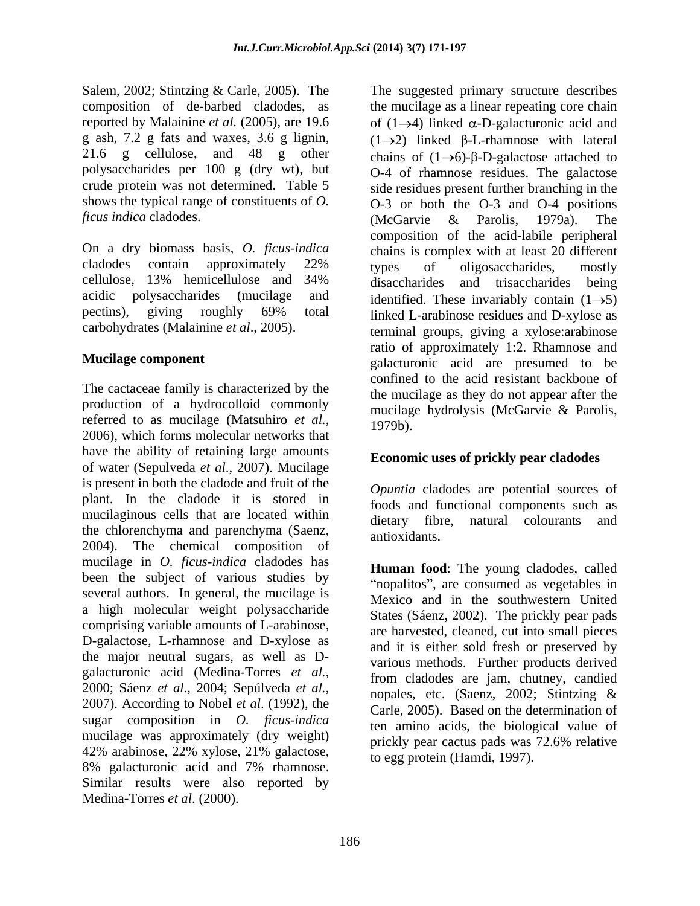21.6 g cellulose, and 48 g other *ficus indica* cladodes. (McGarvie & Parolis. 1979a). The

On a dry biomass basis, *O. ficus-indica*  carbohydrates (Malainine *et al*., 2005).

The cactaceae family is characterized by the production of a hydrocolloid commonly referred to as mucilage (Matsuhiro *et al.*, 1979b).<br>2006), which forms molecular networks that have the ability of retaining large amounts of water (Sepulveda *et al*., 2007). Mucilage is present in both the cladode and fruit of the plant. In the cladode it is stored in mucilaginous cells that are located within<br>dietary fibre, natural colourants and the chlorenchyma and parenchyma (Saenz, antioxidants, 2004). The chemical composition of mucilage in *O. ficus-indica* cladodes has been the subject of various studies by several authors. In general, the mucilage is a high molecular weight polysaccharide comprising variable amounts of L-arabinose, D-galactose, L-rhamnose and D-xylose as the major neutral sugars, as well as D sugar composition in *O. ficus-indica*  mucilage was approximately (dry weight) 8% galacturonic acid and 7% rhamnose. Similar results were also reported by Medina-Torres *et al*. (2000).

Salem, 2002; Stintzing & Carle, 2005). The The suggested primary structure describes composition of de-barbed cladodes, as the mucilage as a linear repeating core chain reported by Malainine *et al.* (2005), are 19.6 of  $(1\rightarrow 4)$  linked  $\alpha$ -D-galacturonic acid and g ash, 7.2 g fats and waxes, 3.6 g lignin,  $(1\rightarrow 2)$  linked  $\beta$ -L-rhamnose with lateral polysaccharides per 100 g (dry wt), but O-4 of rhamnose residues. The galactose crude protein was not determined. Table 5 side residues present further branching in the shows the typical range of constituents of *O.*  O-3 or both the O-3 and O-4 positions cladodes contain approximately 22% types of oligosaccharides, mostly cellulose, 13% hemicellulose and 34% acidic polysaccharides (mucilage and identified. These invariably contain  $(1\rightarrow 5)$ pectins), giving roughly 69% total linked L-arabinose residues and D-xylose as **Mucilage component** galacturonic acid are presumed to be chains of  $(1\rightarrow 6)$ - $\beta$ -D-galactose attached to (McGarvie & Parolis, 1979a). The composition of the acid-labile peripheral chains is complex with at least 20 different types of oligosaccharides, mostly disaccharides and trisaccharides being linked L-arabinose residues and D-xylose as terminal groups, giving a xylose:arabinose ratio of approximately 1:2. Rhamnose and confined to the acid resistant backbone of the mucilage as they do not appear after the mucilage hydrolysis (McGarvie & Parolis, 1979b).

### **Economic uses of prickly pear cladodes**

*Opuntia* cladodes are potential sources of foods and functional components such as dietary fibre, natural colourants antioxidants.

galacturonic acid (Medina-Torres *et al.*, from cladodes are jam, chutney, candied<br>2000; Sáenz *et al.*, 2004; Sepúlveda *et al.*, popules, etc. (Saenz, 2002; Stintzing &<br>2007). According to Nobel *et al.* (1992), the Carl  $42\%$  arabinose,  $22\%$  xylose,  $21\%$  galactose,  $\frac{1}{10}$  egg protein (Hamdi 1997) **Human food**: The young cladodes, called "nopalitos", are consumed as vegetables in Mexico and in the southwestern United States (Sáenz, 2002). The prickly pear pads are harvested, cleaned, cut into small pieces and it is either sold fresh or preserved by various methods. Further products derived from cladodes are jam, chutney, candied nopales, etc. (Saenz, 2002; Stintzing & Carle, 2005). Based on the determination of ten amino acids, the biological value of prickly pear cactus pads was 72.6% relative to egg protein (Hamdi, 1997).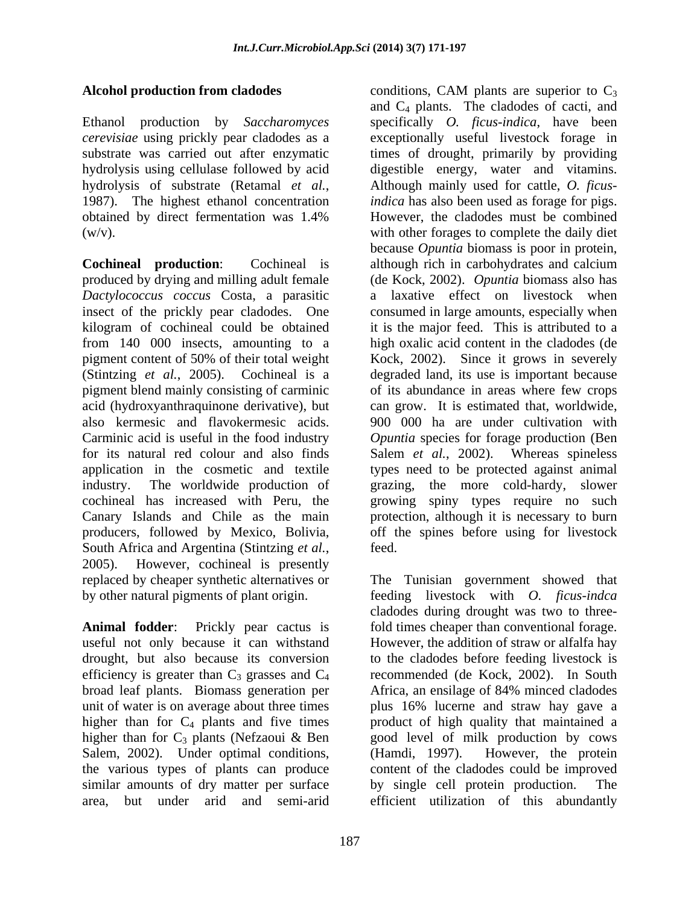### **Alcohol production from cladodes** conditions, CAM plants are superior to C<sub>3</sub>

*cerevisiae* using prickly pear cladodes as a

*Dactylococcus coccus* Costa, a parasitic South Africa and Argentina (Stintzing *et al.*, feed.<br>2005). However, cochineal is presently

Salem, 2002). Under optimal conditions, (Hamdi, 1997). However, the protein the various types of plants can produce similar amounts of dry matter per surface by single cell protein production. The

Ethanol production by *Saccharomyces*  specifically *O. ficus-indica*, have been substrate was carried out after enzymatic times of drought, primarily by providing hydrolysis using cellulase followed by acid digestible energy, water and vitamins. hydrolysis of substrate (Retamal *et al.*, Although mainly used for cattle, *O. ficus*-<br>1987). The highest ethanol concentration *indica* has also been used as forage for pigs. obtained by direct fermentation was 1.4% (w/v). with other forages to complete the daily diet **Cochineal production**: Cochineal is although rich in carbohydrates and calcium produced by drying and milling adult female (de Kock, 2002). *Opuntia* biomass also has insect of the prickly pear cladodes. One consumed in large amounts, especially when kilogram of cochineal could be obtained it is the major feed. This is attributed to a from 140 000 insects, amounting to a high oxalic acid content in the cladodes (de pigment content of 50% of their total weight Kock, 2002). Since it grows in severely (Stintzing *et al.*, 2005). Cochineal is a degraded land, its use is important because pigment blend mainly consisting of carminic of its abundance in areas where few crops acid (hydroxyanthraquinone derivative), but can grow. It is estimated that, worldwide, also kermesic and flavokermesic acids. 900 000 ha are under cultivation with Carminic acid is useful in the food industry *Opuntia* species for forage production (Ben for its natural red colour and also finds Salem *et al.*, 2002). Whereas spineless application in the cosmetic and textile types need to be protected against animal industry. The worldwide production of grazing, the more cold-hardy, slower cochineal has increased with Peru, the growing spiny types require no such Canary Islands and Chile as the main protection, although it is necessary to burn producers, followed by Mexico, Bolivia, off the spines before using for livestock conditions, CAM plants are superior to  $C_3$ and  $C_4$  plants. The cladodes of cacti, and exceptionally useful livestock forage in Although mainly used for cattle, *O. ficusindica* has also been used as forage for pigs. However, the cladodes must be combined because *Opuntia* biomass is poor in protein, a laxative effect on livestock when feed.

replaced by cheaper synthetic alternatives or The Tunisian government showed that by other natural pigments of plant origin. feeding livestock with *O. ficus-indca* Animal **fodder**: Prickly pear cactus is fold times cheaper than conventional forage. useful not only because it can withstand However, the addition of straw or alfalfa hay drought, but also because its conversion to the cladodes before feeding livestock is efficiency is greater than  $C_3$  grasses and  $C_4$  recommended (de Kock, 2002). In South broad leaf plants. Biomass generation per Africa, an ensilage of 84% minced cladodes unit of water is on average about three times plus 16% lucerne and straw hay gave a higher than for C<sub>4</sub> plants and five times product of high quality that maintained a higher than for  $C_3$  plants (Nefzaoui & Ben s good level of milk production by cows area, but under arid and semi-arid efficient utilization of this abundantlycladodes during drought was two to threegood level of milk production by cows (Hamdi, 1997). However, the protein content of the cladodes could be improved by single cell protein production.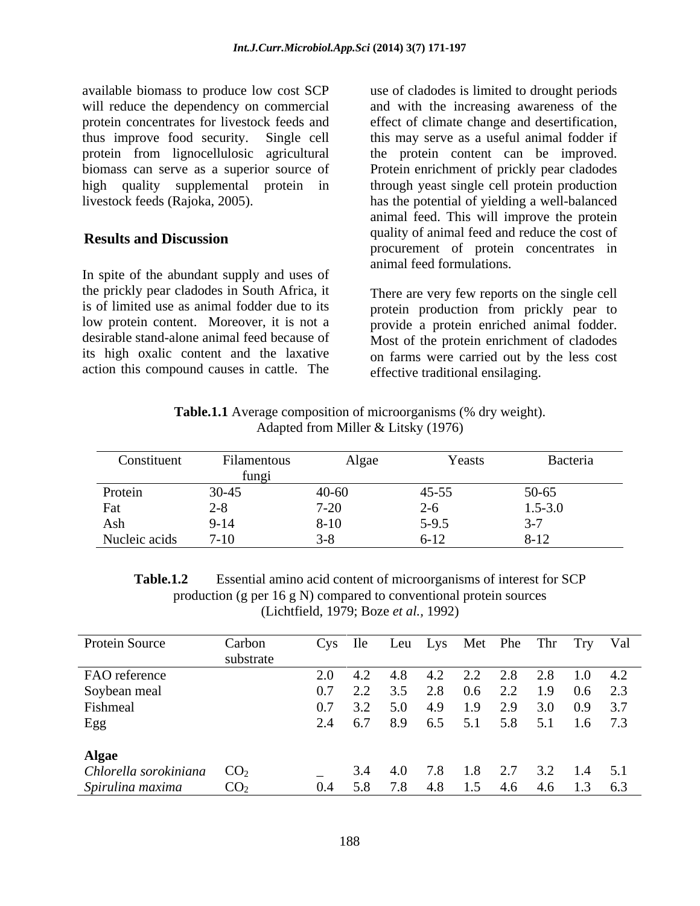available biomass to produce low cost SCP will reduce the dependency on commercial protein concentrates for livestock feeds and effect of climate change and desertification, thus improve food security. Single cell this may serve as a useful animal fodder if protein from lignocellulosic agricultural the protein content can be improved. biomass can serve as a superior source of Protein enrichment of prickly pear cladodes high quality supplemental protein in through yeast single cell protein production livestock feeds (Rajoka, 2005).

In spite of the abundant supply and uses of the prickly pear cladodes in South Africa, it action this compound causes in cattle. The

**Results and Discussion results and Discussion results and Property of American Results** and **Property** is use of cladodes is limited to drought periods and with the increasing awareness of the has the potential of yielding a well-balanced animal feed. This will improve the protein quality of animal feed and reduce the cost of procurement of protein concentrates in animal feed formulations.

is of limited use as animal fodder due to its protein production from prickly pear to low protein content. Moreover, it is not a provide a protein enriched animal fodder. desirable stand-alone animal feed because of Most of the protein enrichment of cladodes its high oxalic content and the laxative on farms were carried out by the less cost There are very few reports on the single cell effective traditional ensilaging.

**Table.1.1** Average composition of microorganisms (% dry weight).Adapted from Miller & Litsky (1976)

| Constituent   | Filamentous | Algae           | Yeasts         | Bacteria             |
|---------------|-------------|-----------------|----------------|----------------------|
|               | fungi       |                 |                |                      |
| Protein       | $30 - 45$   |                 | $45 - 55$      |                      |
| Fat           |             | $40-60$<br>7-20 |                | $50-65$<br>$1.5-3.0$ |
| Ash           | $9-14$      | $8 - 10$        | $5 - 9.5$      | $\sim$ $\sim$        |
| Nucleic acids | $7-10$      |                 | $-10$<br>$0-1$ | $3 - 12$             |

**Table.1.2** Essential amino acid content of microorganisms of interest for SCP production (g per 16 g N) compared to conventional protein sources (Lichtfield, 1979; Boze *et al.,* 1992)

| Protein Source              | Carbon          | Cys Ile          |     | Leu | Lys |                 |     |     | Met Phe Thr Try Val |                 |
|-----------------------------|-----------------|------------------|-----|-----|-----|-----------------|-----|-----|---------------------|-----------------|
|                             | substrate       |                  |     |     |     |                 |     |     |                     |                 |
| FAO reference               |                 | 2.0              | 4.2 | 4.8 | 4.2 | 2.2             | 2.8 | 2.8 |                     | $1.0 \quad 4.2$ |
| Soybean meal                |                 |                  | 2.2 | 3.5 | 2.8 | $0.6\,$         | 2.2 | 1.9 | $0.6$ 2.3           |                 |
| Fishmeal                    |                 | 0.7              | 3.2 | 5.0 | 4.9 | 1.9             | 2.9 | 3.0 | $0.9$ 3.7           |                 |
| Egg                         |                 | $\mathcal{L}$ .4 | 6.7 | 8.9 |     | 6.5 5.1 5.8 5.1 |     |     | $1.6$ 7.3           |                 |
| <b>Algae</b>                |                 |                  |     |     |     |                 |     |     |                     |                 |
| Chlorella sorokiniana $CO2$ |                 |                  | 3.4 | 4.0 | 7.8 | 1.8             | 2.7 | 3.2 |                     | $1.4$ 5.1       |
| Spirulina maxima            | CO <sub>2</sub> | 0.4              | 5.8 | 7.8 | 4.8 | 1.5             | 4.6 | 4.6 |                     | $1.3\quad 6.3$  |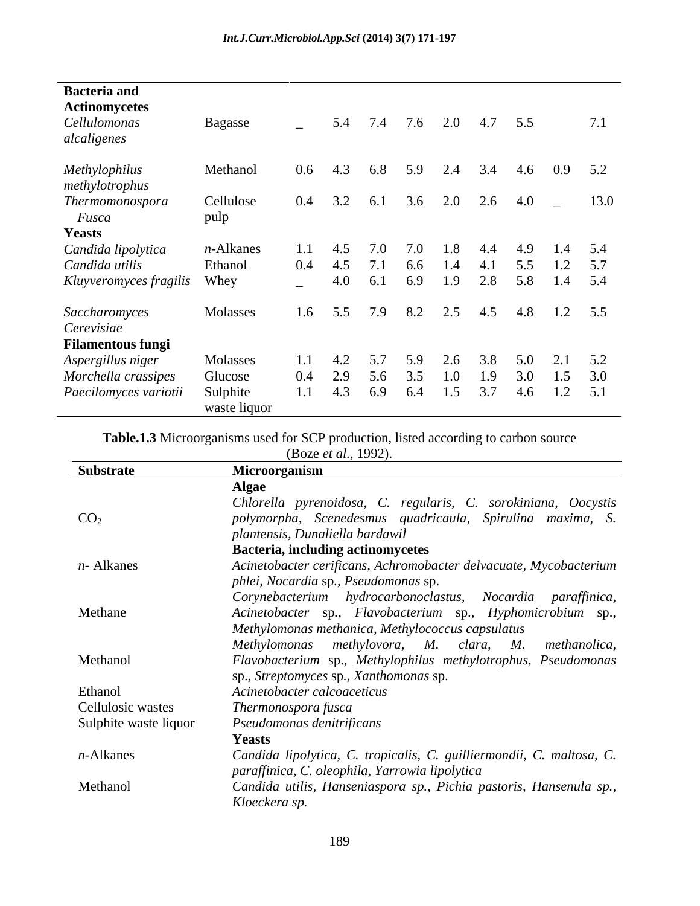| <b>Bacteria</b> and<br><b>Actinomycetes</b> |                   |                 |     |     |     |     |     |           |     |               |
|---------------------------------------------|-------------------|-----------------|-----|-----|-----|-----|-----|-----------|-----|---------------|
| Cellulomonas<br>alcaligenes                 | Bagasse           | $\equiv$        | 5.4 | 7.4 | 7.6 | 2.0 |     | $4.7$ 5.5 |     | 7.1           |
| Methylophilus<br>methylotrophus             | Methanol          | $0.6\,$         | 4.3 | 6.8 | 5.9 | 2.4 | 3.4 | 4.6       |     | $0.9$ 5.2     |
| Thermomonospora<br>Fusca<br><b>Yeasts</b>   | Cellulose<br>pulp | 0.4             | 3.2 | 6.1 | 3.6 | 2.0 | 2.6 | $4.0_{-}$ |     | 13.0          |
| Candida lipolytica                          | $n$ -Alkanes      | 1.1             | 4.5 | 7.0 | 7.0 | l.8 |     | 4.9       | 1.4 | 5.4           |
| Candida utilis                              | Ethanol           | 0.4             | 4.5 | 7.1 | 6.6 |     |     | 5.5       | 1.2 | 5.7           |
| Kluyveromyces fragilis                      | Whey              | $\sim$          | 4.0 | 6.1 | 6.9 | 1.9 | 2.8 | 5.8       | 1.4 | 5.4           |
| Saccharomyces<br>Cerevisiae                 | Molasses          | 1.6             | 5.5 | 7.9 | 8.2 | 2.5 | 4.5 |           |     | $4.8$ 1.2 5.5 |
| <b>Filamentous fungi</b>                    |                   |                 |     |     |     |     |     |           |     |               |
| Aspergillus niger                           | Molasses          | 1.1             | 4.2 | 5.7 | 5.9 | 2.6 | 3.8 | 5.0       | 2.1 | 5.2           |
| Morchella crassipes                         | Glucose           | 0.4             | 2.9 | 5.6 | 3.5 | 1.0 | 1.9 | 3.0       | 1.5 | 3.0           |
| Paecilomyces variotii                       | Sulphite          | $1.1 \quad 4.3$ |     | 6.9 | 6.4 | 1.5 | 3.7 | 4.6       |     | $1.2$ 5.1     |
|                                             | waste liquor      |                 |     |     |     |     |     |           |     |               |

**Table.1.3** Microorganisms used for SCP production, listed according to carbon source

(Boze *et al.*, 1992).

| Substrate             | Microorganism                                                        |
|-----------------------|----------------------------------------------------------------------|
|                       | Algae                                                                |
|                       | Chlorella pyrenoidosa, C. regularis, C. sorokiniana, Oocystis        |
| CO <sub>2</sub>       | polymorpha, Scenedesmus quadricaula, Spirulina maxima, S.            |
|                       | plantensis, Dunaliella bardawil                                      |
|                       | <b>Bacteria, including actinomycetes</b>                             |
| $n$ - Alkanes         | Acinetobacter cerificans, Achromobacter delvacuate, Mycobacterium    |
|                       | phlei, Nocardia sp., Pseudomonas sp.                                 |
|                       | Corynebacterium hydrocarbonoclastus, Nocardia paraffinica,           |
| Methane               | Acinetobacter sp., Flavobacterium sp., Hyphomicrobium sp.,           |
|                       | Methylomonas methanica, Methylococcus capsulatus                     |
|                       | Methylomonas methylovora, M. clara, M. methanolica,                  |
| Methanol              | Flavobacterium sp., Methylophilus methylotrophus, Pseudomonas        |
|                       | sp., Streptomyces sp., Xanthomonas sp.                               |
| Ethanol               | Acinetobacter calcoaceticus                                          |
| Cellulosic wastes     | Thermonospora fusca                                                  |
| Sulphite waste liquor | Pseudomonas denitrificans                                            |
|                       | <b>Yeasts</b>                                                        |
| $n$ -Alkanes          | Candida lipolytica, C. tropicalis, C. guilliermondii, C. maltosa, C. |
|                       | paraffinica, C. oleophila, Yarrowia lipolytica                       |
| Methanol              | Candida utilis, Hanseniaspora sp., Pichia pastoris, Hansenula sp.,   |
|                       | Kloeckera sp.                                                        |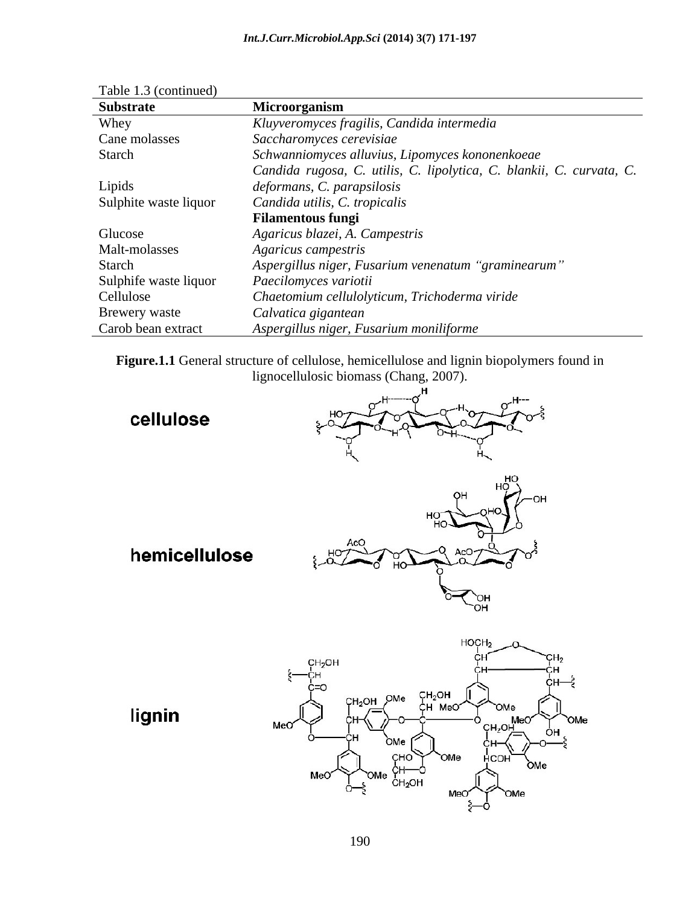| <b>Substrate</b>      | <b>Microorganism</b>                                                 |
|-----------------------|----------------------------------------------------------------------|
| Whey                  | Kluyveromyces fragilis, Candida intermedia                           |
| Cane molasses         | Saccharomyces cerevisiae                                             |
| Starch                | Schwanniomyces alluvius, Lipomyces kononenkoeae                      |
|                       | Candida rugosa, C. utilis, C. lipolytica, C. blankii, C. curvata, C. |
| Lipids                | deformans, C. parapsilosis                                           |
| Sulphite waste liquor | Candida utilis, C. tropicalis                                        |
|                       | <b>Filamentous fungi</b>                                             |
| Glucose               | Agaricus blazei, A. Campestris                                       |
| Malt-molasses         | Agaricus campestris                                                  |
| Starch                | Aspergillus niger, Fusarium venenatum "graminearum"                  |
| Sulphife waste liquor | Paecilomyces variotii                                                |
| Cellulose             | Chaetomium cellulolyticum, Trichoderma viride                        |
| Brewery waste         | Calvatica gigantean                                                  |
| Carob bean extract    | Aspergillus niger, Fusarium moniliforme                              |

Table 1.3 (continued)

**Figure.1.1** General structure of cellulose, hemicellulose and lignin biopolymers found in lignocellulosic biomass (Chang, 2007).

cellulose



hemicellulose



lignin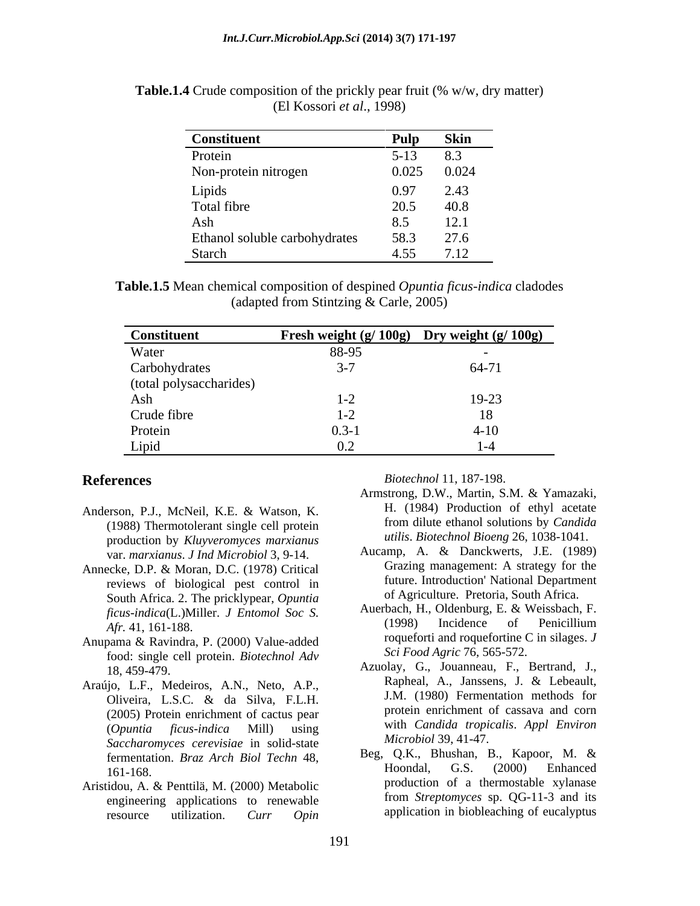| <b>Constituent</b>            | Pulp   | <b>Skin</b> |
|-------------------------------|--------|-------------|
| Protein                       | $5-13$ | 8.3         |
| Non-protein nitrogen          | 0.025  | 0.024       |
| Lipids                        | 0.97   | 2.43        |
| Total fibre                   | 20.5   | 40.8        |
| Ash                           | 8.5    | 101<br>12.1 |
| Ethanol soluble carbohydrates | 58.3   | 27.6        |
| Starch                        | 4.55   | 7.12        |

**Table.1.4** Crude composition of the prickly pear fruit (% w/w, dry matter) (El Kossori *et al*., 1998)

**Table.1.5** Mean chemical composition of despined *Opuntia ficus-indica* cladodes (adapted from Stintzing & Carle, 2005)

| <b>Constituent</b>      | Fresh weight $(g/100g)$ Dry weight $(g/100g)$ |         |
|-------------------------|-----------------------------------------------|---------|
| Water                   | 88-95                                         |         |
| Carbohydrates           |                                               | $64-71$ |
| (total polysaccharides) |                                               |         |
| Ash                     |                                               | 19-23   |
| Crude fibre             |                                               |         |
| Protein                 | $0.3 - i$                                     | $4-10$  |
| Lipid                   | 0.2                                           |         |

- Anderson, P.J., McNeil, K.E. & Watson, K. (1988) Thermotolerant single cell protein production by *Kluyveromyces marxianus* var. *marxianus*. *J Ind Microbiol* 3, 9-14.
- Annecke, D.P. & Moran, D.C. (1978) Critical reviews of biological pest control in South Africa. 2. The pricklypear, *Opuntia Afr.* 41, 161-188.
- Anupama & Ravindra, P. (2000) Value-added food: single cell protein. *Biotechnol Adv*
- (2005) Protein enrichment of cactus pear *Saccharomyces cerevisiae* in solid-state
- Aristidou, A. & Penttilä, M. (2000) Metabolic engineering applications to renewable resource utilization. *Curr Opin*

**References** *Biotechnol* 11, 187-198. *Biotechnol* 11, 187-198.

- Armstrong, D.W., Martin, S.M. & Yamazaki, H. (1984) Production of ethyl acetate from dilute ethanol solutions by *Candida utilis*. *Biotechnol Bioeng* 26, 1038-1041.
- Aucamp, A. & Danckwerts, J.E. (1989) Grazing management: A strategy for the future. Introduction' National Department of Agriculture. Pretoria, South Africa.
- *ficus-indica*(L.)Miller. *J Entomol Soc S.* Auerbach, H., Oldenburg, E. & Weissbach, F.<br>
(1998) Incidence of Penicillium Auerbach, H., Oldenburg, E. & Weissbach, F. (1998) Incidence of Penicillium roqueforti and roquefortine C in silages. *J Sci Food Agric* 76, 565-572.
- 18, 459-479. Azuolay, G., Jouanneau, F., Bertrand, J., Araújo, L.F., Medeiros, A.N., Neto, A.P., Rapheal, A., Janssens, J. & Lebeault, Oliveira, L.S.C. & da Silva, F.L.H. (*Opuntia ficus-indica* Mill) using Rapheal, A., Janssens, J. & Lebeault, J.M. (1980) Fermentation methods for protein enrichment of cassava and corn with *Candida tropicalis*. *Appl Environ Microbiol* 39, 41-47.
	- fermentation. *Braz Arch Biol Techn* 48, 161-168. **hoondal**, **G.S.** (2000) **Enhanced** Beg, Q.K., Bhushan, B., Kapoor, M. & Hoondal, G.S. (2000) Enhanced production of a thermostable xylanase from *Streptomyces* sp. QG-11-3 and its application in biobleaching of eucalyptus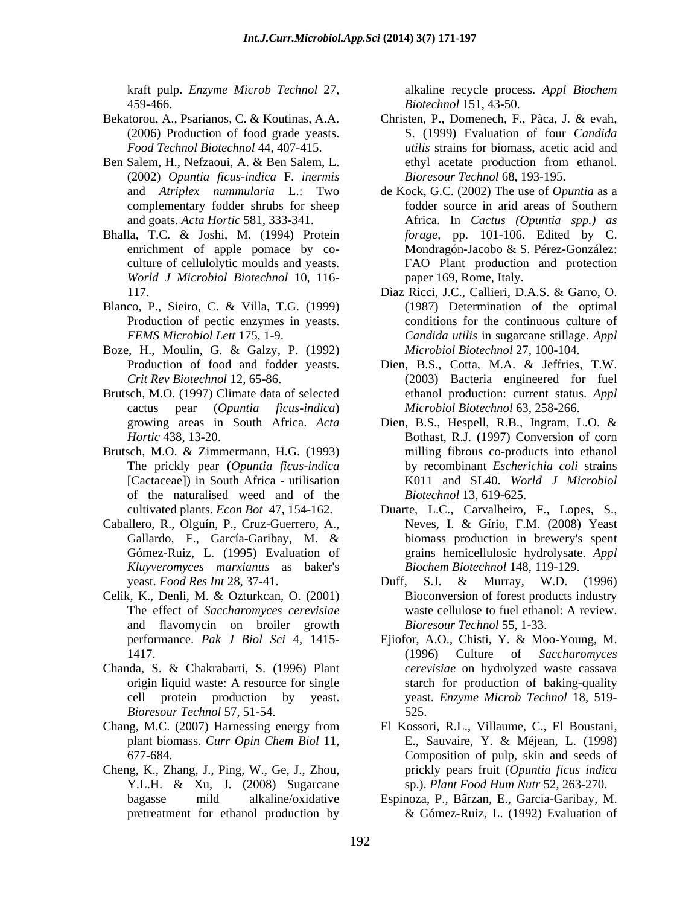- 
- (2002) *Opuntia ficus-indica* F. *inermis*
- Bhalla, T.C. & Joshi, M. (1994) Protein *World J Microbiol Biotechnol* 10, 116-
- Blanco, P., Sieiro, C. & Villa, T.G. (1999)
- Boze, H., Moulin, G. & Galzy, P. (1992) *Microbiol Biotechnol* 27, 100-104.
- Brutsch, M.O. (1997) Climate data of selected
- Brutsch, M.O. & Zimmermann, H.G. (1993) The prickly pear (*Opuntia ficus-indica*  of the naturalised weed and of the
- *Kluyveromyces marxianus* as baker's
- Celik, K., Denli, M. & Ozturkcan, O. (2001) and flavomycin on broiler growth
- Chanda, S. & Chakrabarti, S. (1996) Plant *Bioresour Technol* 57, 51-54.
- 
- Cheng, K., Zhang, J., Ping, W., Ge, J., Zhou,

kraft pulp. *Enzyme Microb Technol* 27, 459-466. *Biotechnol* 151, 43-50. alkaline recycle process. *Appl Biochem*

- Bekatorou, A., Psarianos, C. & Koutinas, A.A. Christen, P., Domenech, F., Pàca, J. & evah, (2006) Production of food grade yeasts. S. (1999) Evaluation of four *Candida Food Technol Biotechnol* 44, 407-415. *utilis* strains for biomass, acetic acid and Ben Salem, H., Nefzaoui, A. & Ben Salem, L. ethyl acetate production from ethanol. *Bioresour Technol* 68, 193-195.
	- and *Atriplex nummularia* L.: Two de Kock, G.C. (2002) The use of *Opuntia* as a complementary fodder shrubs for sheep fodder source in arid areas of Southern and goats. *Acta Hortic* 581, 333-341. Africa. In *Cactus (Opuntia spp.) as* enrichment of apple pomace by co-<br>Mondragón-Jacobo & S. Pérez-González: culture of cellulolytic moulds and yeasts. FAO Plant production and protection *forage*, pp. 101-106. Edited by C. Mondragón-Jacobo & S. Pérez-González: paper 169, Rome, Italy.
	- 117. Díaz Ricci, J.C., Callieri, D.A.S. & Garro, O. Production of pectic enzymes in yeasts. conditions for the continuous culture of *FEMS Microbiol Lett* 175, 1-9. *Candida utilis* in sugarcane stillage. *Appl*  Dìaz Ricci, J.C., Callieri, D.A.S. & Garro, O. (1987) Determination of the optimal *Microbiol Biotechnol* 27, 100-104.
	- Production of food and fodder yeasts. Dien, B.S., Cotta, M.A. & Jeffries, T.W. *Crit Rev Biotechnol* 12, 65-86. (2003) Bacteria engineered for fuel cactus pear (*Opuntia ficus-indica*) *Microbiol Biotechnol* 63, 258-266. ethanol production: current status. *Appl*
	- growing areas in South Africa. *Acta Hortic* 438, 13-20. Bothast, R.J. (1997) Conversion of corn [Cactaceae]) in South Africa - utilisation K011 and SL40. *World J Microbiol* Dien, B.S., Hespell, R.B., Ingram, L.O. & milling fibrous co-products into ethanol by recombinant *Escherichia coli* strains *Biotechnol* 13, 619-625.
- cultivated plants. *Econ Bot* 47, 154-162. Duarte, L.C., Carvalheiro, F., Lopes, S., Caballero, R., Olguín, P., Cruz-Guerrero, A., Gallardo, F., García-Garibay, M. & biomass production in brewery's spent Gómez-Ruiz, L. (1995) Evaluation of grains hemicellulosic hydrolysate. *Appl*  Neves, I. & Gírio, F.M. (2008) Yeast biomass production in brewery's spent *Biochem Biotechnol* 148, 119-129.
	- yeast. *Food Res Int* 28, 37-41. The effect of *Saccharomyces cerevisiae* waste cellulose to fuel ethanol: A review. Duff, S.J. & Murray, W.D. (1996) Bioconversion of forest products industry *Bioresour Technol* 55, 1-33.
	- performance. *Pak J Biol Sci* 4, 1415- 1417. (1996) Culture of *Saccharomyces* origin liquid waste: A resource for single starch for production of baking-quality cell protein production by yeast. Weast. *Enzyme Microb Technol* 18, 519-Ejiofor, A.O., Chisti, Y. & Moo-Young, M. (1996) Culture of *Saccharomyces cerevisiae* on hydrolyzed waste cassava starch for production of baking-quality 525.
- Chang, M.C. (2007) Harnessing energy from El Kossori, R.L., Villaume, C., El Boustani, plant biomass. *Curr Opin Chem Biol* 11, 677-684. Composition of pulp, skin and seeds of Y.L.H. & Xu, J. (2008) Sugarcane sp.). Plant Food Hum Nutr 52, 263-270. E., Sauvaire, Y. & Méjean, L. (1998) prickly pears fruit (*Opuntia ficus indica* sp.). *Plant Food Hum Nutr* 52, 263-270.
	- bagasse mild alkaline/oxidative Espinoza, P., Bârzan, E., Garcia-Garibay, M. pretreatment for ethanol production by & Gómez-Ruiz, L. (1992) Evaluation of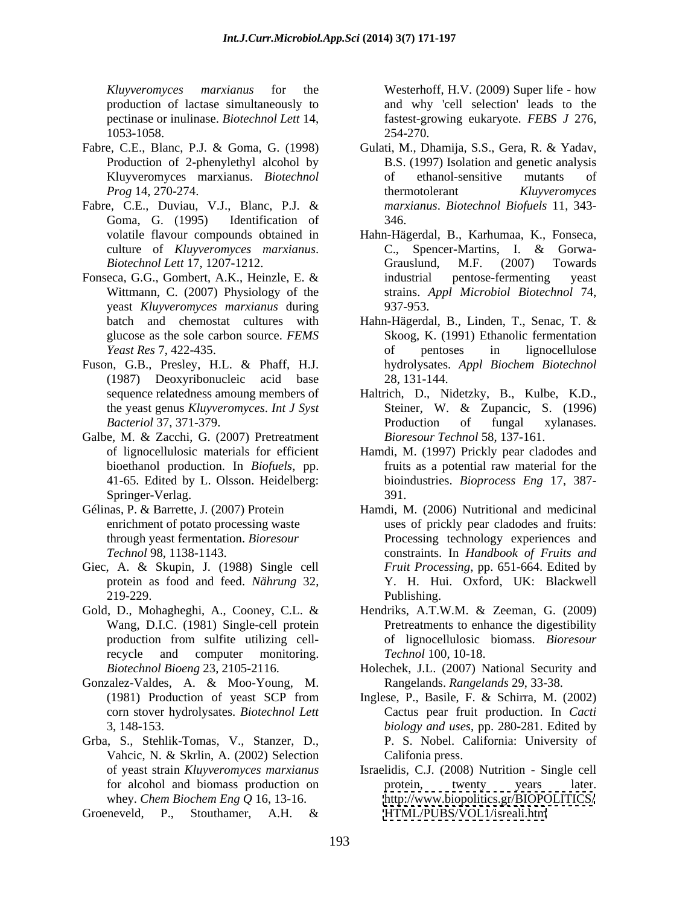- Fabre, C.E., Blanc, P.J. & Goma, G. (1998) Gulati, M., Dhamija, S.S., Gera, R. & Yadav,
- Fabre, C.E., Duviau, V.J., Blanc, P.J. & Goma, G. (1995) Identification of 346.
- Fonseca, G.G., Gombert, A.K., Heinzle, E. & industrial pentose-fermenting yeast yeast *Kluyveromyces marxianus* during
- Fuson, G.B., Presley, H.L. & Phaff, H.J. (1987) Deoxyribonucleic acid base
- Galbe, M. & Zacchi, G. (2007) Pretreatment 41-65. Edited by L. Olsson. Heidelberg: Springer-Verlag. 391.
- 
- Giec, A. & Skupin, J. (1988) Single cell
- Wang, D.I.C. (1981) Single-cell protein production from sulfite utilizing cellrecycle and computer monitoring. Technol 100, 10-18.
- Gonzalez-Valdes, A. & Moo-Young, M.
- Grba, S., Stehlik-Tomas, V., Stanzer, D., Vahcic, N. & Skrlin, A. (2002) Selection

Groeneveld, P., Stouthamer, A.H. &

*Kluyveromyces marxianus* for the Westerhoff, H.V. (2009) Super life - how production of lactase simultaneously to and why 'cell selection' leads to the pectinase or inulinase. *Biotechnol Lett* 14, fastest-growing eukaryote. *FEBS J* 276, 1053-1058. 254-270.

- Production of 2-phenylethyl alcohol by B.S. (1997) Isolation and genetic analysis Kluyveromyces marxianus. *Biotechnol Prog* 14, 270-274. Gulati, M., Dhamija, S.S., Gera, R. & Yadav, of ethanol-sensitive mutants of thermotolerant *Kluyveromyces marxianus*. *Biotechnol Biofuels* 11, 343- 346.
- volatile flavour compounds obtained in Hahn-Hägerdal, B., Karhumaa, K., Fonseca, culture of *Kluyveromyces marxianus*. *Biotechnol Lett* 17, 1207-1212. Wittmann, C. (2007) Physiology of the strains. *Appl Microbiol Biotechnol* 74, Hahn-Hägerdal, B., Karhumaa, K., Fonseca,<br>C., Spencer-Martins, I. & Gorwa-Grauslund, M.F. (2007) Towards industrial pentose-fermenting yeast 937-953.
- batch and chemostat cultures with Hahn-Hägerdal, B., Linden, T., Senac, T. & glucose as the sole carbon source. *FEMS*  Skoog, K. (1991) Ethanolic fermentation *Yeast Res* 7, 422-435. of pentoses in lignocellulose hydrolysates. *Appl Biochem Biotechnol* 28, 131-144.
- sequence relatedness amoung members of Haltrich, D., Nidetzky, B., Kulbe, K.D., the yeast genus *Kluyveromyces*. *Int J Syst Bacteriol* 37, 371-379. Steiner, W. & Zupancic, S. (1996) Production of fungal xylanases. *Bioresour Technol* 58, 137-161.
- of lignocellulosic materials for efficient Hamdi, M. (1997) Prickly pear cladodes and bioethanol production.In *Biofuels*, pp. fruits as a potential raw material for the bioindustries. *Bioprocess Eng* 17, 387- 391.
- Gélinas, P. & Barrette, J. (2007) Protein Hamdi, M. (2006) Nutritional and medicinal enrichment of potato processing waste uses of prickly pear cladodes and fruits: through yeast fermentation. *Bioresour*  Processing technology experiences and *Technol* 98, 1138-1143. constraints. In *Handbook of Fruits and* protein as food and feed. *Nährung* 32, Y. H. Hui. Oxford, UK: Blackwell 219-229. **Publishing.** *Fruit Processing*, pp. 651-664. Edited by Publishing.
- Gold, D., Mohagheghi, A., Cooney, C.L. & Hendriks, A.T.W.M. & Zeeman, G. (2009) Pretreatments to enhance the digestibility of lignocellulosic biomass. *Bioresour Technol* 100, 10-18.
	- *Biotechnol Bioeng* 23, 2105-2116. Holechek, J.L. (2007) National Security and Rangelands. *Rangelands* 29, 33-38.
	- (1981) Production of yeast SCP from Inglese, P., Basile, F. & Schirra, M. (2002) corn stover hydrolysates. *Biotechnol Lett* Cactus pear fruit production.In *Cacti* 3, 148-153. *biology and uses*, pp. 280-281. Edited by P. S. Nobel. California: University of Califonia press.
	- of yeast strain *Kluyveromyces marxianus* Israelidis, C.J. (2008) Nutrition Single cell for alcohol and biomass production on the protein, twenty years later. whey. *Chem Biochem Eng Q* 16, 13-16. <http://www.biopolitics.gr/BIOPOLITICS/> protein, twenty years later. <HTML/PUBS/VOL1/isreali.htm>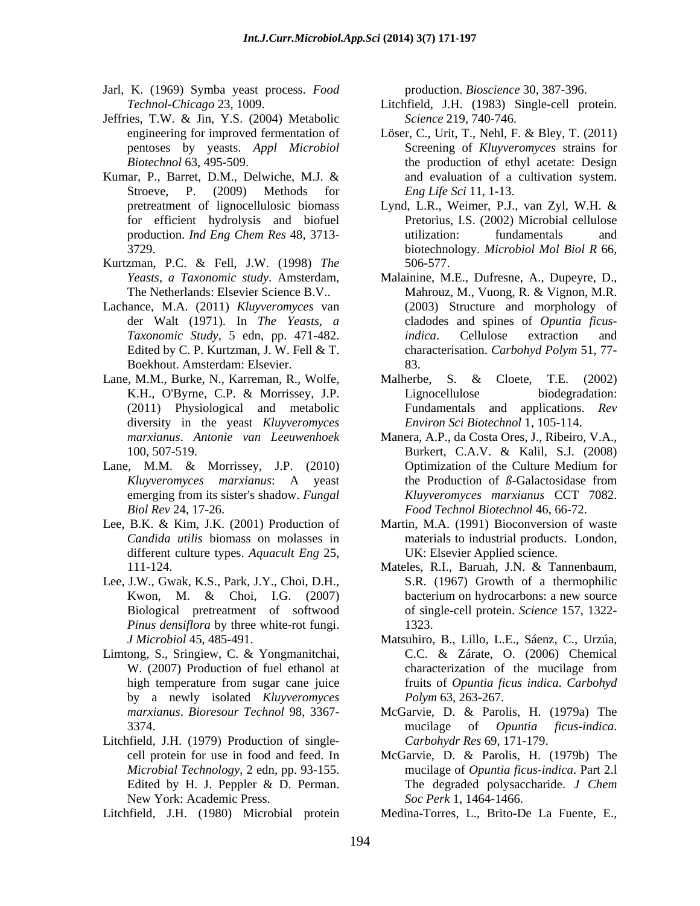- Jarl, K. (1969) Symba yeast process. *Food*
- Jeffries, T.W. & Jin, Y.S. (2004) Metabolic
- Kumar, P., Barret, D.M., Delwiche, M.J. & Stroeve, P. (2009) Methods for
- Kurtzman, P.C. & Fell, J.W. (1998) *The*
- Lachance, M.A. (2011) *Kluyveromyces* van Boekhout. Amsterdam: Elsevier.
- diversity in the yeast *Kluyveromyces*
- 
- Lee, B.K. & Kim, J.K. (2001) Production of different culture types. *Aquacult Eng* 25,
- Lee, J.W., Gwak, K.S., Park, J.Y., Choi, D.H., *Pinus densiflora* by three white-rot fungi.
- Limtong, S., Sringiew, C. & Yongmanitchai, by a newly isolated *Kluyveromyces*
- Litchfield, J.H. (1979) Production of single- New York: Academic Press.

Litchfield, J.H. (1980) Microbial protein Medina-Torres, L., Brito-De La Fuente, E.,

production. *Bioscience* 30, 387-396.

- *Technol-Chicago* 23, 1009. Litchfield, J.H. (1983) Single-cell protein. *Science* 219, 740-746.
- engineering for improved fermentation of Löser, C., Urit, T., Nehl, F. & Bley, T. (2011) pentoses by yeasts. *Appl Microbiol* Screening of *Kluyveromyces* strains for *Biotechnol* 63, 495-509. the production of ethyl acetate: Design and evaluation of a cultivation system. *Eng Life Sci* 11, 1-13.
- pretreatment of lignocellulosic biomass Lynd, L.R., Weimer, P.J., van Zyl, W.H. & for efficient hydrolysis and biofuel Pretorius, I.S. (2002) Microbial cellulose production. *Ind Eng Chem Res* 48, 3713- 3729. biotechnology. *Microbiol Mol Biol R* 66, utilization: fundamentals and 506-577.
- *Yeasts, a Taxonomic study*. Amsterdam, Malainine, M.E., Dufresne, A., Dupeyre, D., The Netherlands: Elsevier Science B.V.. Mahrouz, M., Vuong, R. & Vignon, M.R. der Walt (1971). In *The Yeasts, a* cladodes and spines of *Opuntia ficus-Taxonomic Study*, 5 edn, pp. 471-482. Edited by C. P. Kurtzman, J. W. Fell & T. Characterisation. Carbohyd Polym 51, 77-Mahrouz, M., Vuong, R. & Vignon, M.R. (2003) Structure and morphology of *indica*. Cellulose extraction and characterisation. *Carbohyd Polym* 51, 77- 83.
- Lane, M.M., Burke, N., Karreman, R., Wolfe, Malherbe, S. & Cloete, T.E. (2002) K.H., O'Byrne, C.P. & Morrissey, J.P. (2011) Physiological and metabolic Fundamentals and applications. *Rev*  Lignocellulose biodegradation: *Environ Sci Biotechnol* 1, 105-114.
- *marxianus*. *Antonie van Leeuwenhoek* Manera, A.P., da Costa Ores, J., Ribeiro, V.A., 100, 507-519. Burkert, C.A.V. & Kalil, S.J. (2008) Lane, M.M. & Morrissey, J.P. (2010) Optimization of the Culture Medium for *Kluyveromyces marxianus*: A yeast emerging from its sister's shadow. *Fungal Kluyveromyces marxianus* CCT 7082. *Biol Rev* 24, 17-26. *Food Technol Biotechnol* 46, 66-72. Optimization of the Culture Medium for the Production of *ß*-Galactosidase from *Kluyveromyces marxianus* CCT 7082.
	- *Candida utilis* biomass on molasses in materials to industrial products. London, Martin, M.A. (1991) Bioconversion of waste UK: Elsevier Applied science.
	- 111-124. Mateles, R.I., Baruah, J.N. & Tannenbaum, Kwon, M. & Choi, I.G. (2007) bacterium on hydrocarbons: a new source Biological pretreatment of softwood of single-cell protein. *Science* 157, 1322- S.R. (1967) Growth of a thermophilic bacterium on hydrocarbons: a new source 1323.
	- *J Microbiol* 45, 485-491. Matsuhiro, B., Lillo, L.E., Sáenz, C., Urzúa, W. (2007) Production of fuel ethanol at characterization of the mucilage from high temperature from sugar cane juice fruits of *Opuntia ficus indica. Carbohyd* C.C. & Zárate, O. (2006) Chemical characterization of the mucilage from fruits of *Opuntia ficus indica*. *Carbohyd Polym* 63, 263-267.
	- *marxianus*. *Bioresour Technol* 98, 3367- McGarvie, D. & Parolis, H. (1979a) The 3374. **Samular Strutter Community 3374. https://www.mucilage** of *Opuntia ficus-indica.*  $\blacksquare$ mucilage of *Opuntia ficus-indica*. *Carbohydr Res* 69, 171-179.
	- cell protein for use in food and feed. In McGarvie, D. & Parolis, H. (1979b) The *Microbial Technology*,2 edn, pp. 93-155. mucilage of *Opuntia ficus-indica*. Part 2.l Edited by H. J. Peppler & D. Perman. The degraded polysaccharide. J Chem The degraded polysaccharide. *J Chem Soc Perk* 1, 1464-1466.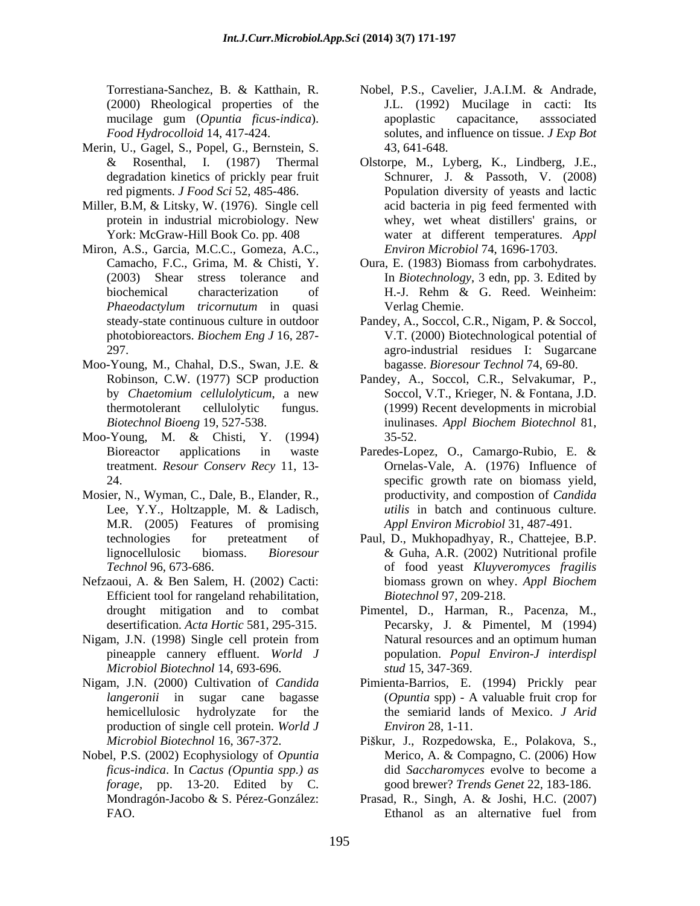(2000) Rheological properties of the

- Merin, U., Gagel, S., Popel, G., Bernstein, S.
- Miller, B.M, & Litsky, W. (1976). Single cell
- Miron, A.S., Garcia, M.C.C., Gomeza, A.C.,
- Moo-Young, M., Chahal, D.S., Swan, J.E. &
- Moo-Young, M. & Chisti, Y. (1994)
- Mosier, N., Wyman, C., Dale, B., Elander, R., M.R. (2005) Features of promising
- Nefzaoui, A. & Ben Salem, H. (2002) Cacti: biomass grown on whey. Appl Biochem Efficient tool for rangeland rehabilitation,
- Nigam, J.N. (1998) Single cell protein from *Microbiol Biotechnol* 14, 693-696.
- Nigam, J.N. (2000) Cultivation of *Candida*  Pimienta-Barrios, E. (1994) Prickly pear production of single cell protein. *World J*
- Nobel, P.S. (2002) Ecophysiology of *Opuntia ficus-indica*. In *Cactus (Opuntia spp.) as forage*, pp. 13-20. Edited by C.
- Torrestiana-Sanchez, B. & Katthain, R. mucilage gum (*Opuntia ficus-indica*). *Food Hydrocolloid* 14, 417-424. solutes, and influence on tissue. *J Exp Bot* Nobel, P.S., Cavelier, J.A.I.M. & Andrade, J.L. (1992) Mucilage in cacti: Its apoplastic capacitance, asssociated 43, 641-648.
- & Rosenthal, I. (1987) Thermal Olstorpe, M., Lyberg, K., Lindberg, J.E., degradation kinetics of prickly pear fruit Schnurer, J. & Passoth, V. (2008) red pigments. *J Food Sci* 52, 485-486. Population diversity of yeasts and lactic protein in industrial microbiology. New York: McGraw-Hill Book Co. pp. 408 water at different temperatures. *Appl*  Schnurer, J. & Passoth, V. (2008) acid bacteria in pig feed fermented with whey, wet wheat distillers' grains, or *Environ Microbiol* 74, 1696-1703.
- Camacho, F.C., Grima, M. & Chisti, Y. Oura, E. (1983) Biomass from carbohydrates. (2003) Shear stress tolerance and In *Biotechnology*, 3 edn, pp. 3. Edited by biochemical characterization of H.-J. Rehm & G. Reed. Weinheim: *Phaeodactylum tricornutum* in quasi H.-J. Rehm & G. Reed. Weinheim: Verlag Chemie.
- steady-state continuous culture in outdoor Pandey, A., Soccol, C.R., Nigam, P. & Soccol, photobioreactors. *Biochem Eng J* 16, 287- V.T. (2000) Biotechnological potential of 297. agro-industrial residues I: Sugarcane bagasse. *Bioresour Technol* 74, 69-80.
- Robinson, C.W. (1977) SCP production Pandey, A., Soccol, C.R., Selvakumar, P., by *Chaetomium cellulolyticum*, a new thermotolerant cellulolytic fungus. (1999) Recent developments in microbial *Biotechnol Bioeng* 19, 527-538. Soccol, V.T., Krieger, N. & Fontana, J.D. inulinases. *Appl Biochem Biotechnol* 81, 35-52.
- Bioreactor applications in waste Paredes-Lopez, O., Camargo-Rubio, E. & treatment. *Resour Conserv Recy* 11, 13- Ornelas-Vale, A. (1976) Influence of 24. specific growth rate on biomass yield, Lee, Y.Y., Holtzapple, M. & Ladisch, *utilis* in batch and continuous culture. productivity, and compostion of *Candida utilis* in batch and continuous culture. *Appl Environ Microbiol* 31, 487-491.
- technologies for preteatment of Paul, D., Mukhopadhyay,R., Chattejee, B.P. lignocellulosic biomass. *Bioresour Technol* 96, 673-686. of food yeast *Kluyveromyces fragilis* & Guha, A.R. (2002) Nutritional profile biomass grown on whey. *Appl Biochem Biotechnol* 97, 209-218.
- drought mitigation and to combat Pimentel, D., Harman, R., Pacenza, M., desertification. *Acta Hortic* 581, 295-315. pineapple cannery effluent. *World J* population. *Popul Environ-J interdispl* Pecarsky, J. & Pimentel, M (1994) Natural resources and an optimum human *stud* 15, 347-369.
- *langeronii* in sugar cane bagasse (*Opuntia* spp) A valuable fruit crop for hemicellulosic hydrolyzate for the the semiarid lands of Mexico. *J Arid Environ* 28, 1-11.
- Microbiol Biotechnol 16, 367-372. Piškur, J., Rozpedowska, E., Polakova, S., Merico, A. & Compagno, C. (2006) How did *Saccharomyces* evolve to become a good brewer? *Trends Genet* 22, 183-186.
- Mondragón-Jacobo & S. Pérez-González: Prasad, R., Singh, A. & Joshi, H.C. (2007) FAO. Ethanol as an alternative fuel from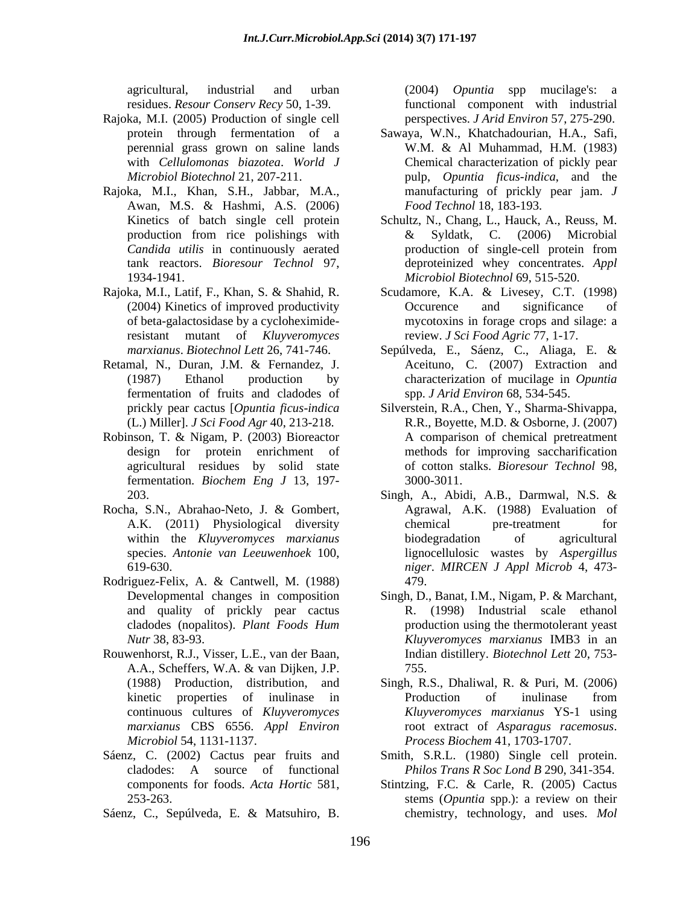- Rajoka, M.I. (2005) Production of single cell
- Rajoka, M.I., Khan, S.H., Jabbar, M.A., Awan, M.S. & Hashmi, A.S. (2006) *Food Technol* 18, 183-193.
- of beta-galactosidase by a cycloheximideresistant mutant of *Kluyveromyces*
- Retamal, N., Duran, J.M. & Fernandez, J. fermentation of fruits and cladodes of
- Robinson, T. & Nigam, P. (2003) Bioreactor agricultural residues by solid state fermentation. *Biochem Eng J* 13, 197-
- Rocha, S.N., Abrahao-Neto, J. & Gombert,
- Rodriguez-Felix, A. & Cantwell, M. (1988) and quality of prickly pear cactus
- Rouwenhorst, R.J., Visser, L.E., van der Baan, A.A., Scheffers, W.A. & van Dijken, J.P.
- 
- Sáenz, C., Sepúlveda, E. & Matsuhiro, B.

agricultural, industrial and urban (2004) *Opuntia* spp mucilage's: a residues. *Resour Conserv Recy* 50, 1-39. functional component with industrial perspectives. *J Arid Environ* 57, 275-290.

- protein through fermentation of a Sawaya, W.N., Khatchadourian, H.A., Safi, perennial grass grown on saline lands with *Cellulomonas biazotea*. *World J* Chemical characterization of pickly pear *Microbiol Biotechnol* 21, 207-211. pulp, *Opuntia ficus-indica*, and the W.M. & Al Muhammad, H.M. (1983) manufacturing of prickly pear jam. *J Food Technol* 18, 183-193.
- Kinetics of batch single cell protein Schultz, N., Chang, L., Hauck, A., Reuss, M. production from rice polishings with  $\&$  Syldatk, C. (2006) Microbial *Candida utilis* in continuously aerated tank reactors. *Bioresour Technol* 97, deproteinized whey concentrates. *Appl*  1934-1941. *Microbiol Biotechnol* 69, 515-520. & Syldatk, C. (2006) Microbial production of single-cell protein from
- Rajoka, M.I., Latif, F., Khan, S. & Shahid, R. (2004) Kinetics of improved productivity Scudamore, K.A. & Livesey, C.T. (1998) Occurence and significance of mycotoxins in forage crops and silage: a review. *J Sci Food Agric* 77, 1-17.
	- *marxianus*. *Biotechnol Lett* 26, 741-746. (1987) Ethanol production by characterization of mucilage in *Opuntia* Sepúlveda, E., Sáenz, C., Aliaga, E. & Aceituno, C. (2007) Extraction and spp. *J Arid Environ* 68, 534-545.
	- prickly pear cactus [*Opuntia ficus-indica* Silverstein, R.A., Chen, Y., Sharma-Shivappa, (L.) Miller]. *J Sci Food Agr* 40, 213-218. R.R., Boyette, M.D. & Osborne, J. (2007) design for protein enrichment of methods for improving saccharification A comparison of chemical pretreatment of cotton stalks. *Bioresour Technol* 98, 3000-3011.
	- 203. Singh, A., Abidi, A.B., Darmwal, N.S. & A.K. (2011) Physiological diversity within the *Kluyveromyces marxianus* species. *Antonie van Leeuwenhoek* 100, lignocellulosic wastes by *Aspergillus*  619-630. *niger*. *MIRCEN J Appl Microb* 4, 473- Agrawal, A.K. (1988) Evaluation of chemical pre-treatment for biodegradation of agricultural 479.
	- Developmental changes in composition Singh, D., Banat, I.M., Nigam, P. & Marchant, cladodes (nopalitos). *Plant Foods Hum Nutr* 38, 83-93. *Kluyveromyces marxianus* IMB3 in an R. (1998) Industrial scale ethanol production using the thermotolerant yeast Indian distillery. *Biotechnol Lett* 20, 753- 755.
	- (1988) Production, distribution, and Singh, R.S., Dhaliwal, R. & Puri, M. (2006) kinetic properties of inulinase in continuous cultures of *Kluyveromyces Kluyveromyces marxianus* YS-1 using *marxianus* CBS 6556. *Appl Environ* root extract of *Asparagus racemosus*. *Microbiol* 54, 1131-1137. *Process Biochem* 41, 1703-1707. Production of inulinase from
- Sáenz, C. (2002) Cactus pear fruits and Smith, S.R.L. (1980) Single cell protein. cladodes: A source of functional *Philos Trans R Soc Lond B* 290, 341-354. *Philos Trans R Soc Lond B* 290, 341-354.
	- components for foods. *Acta Hortic* 581, Stintzing, F.C. & Carle, R. (2005) Cactus 253-263. stems (*Opuntia* spp.): a review on their chemistry, technology, and uses. *Mol*